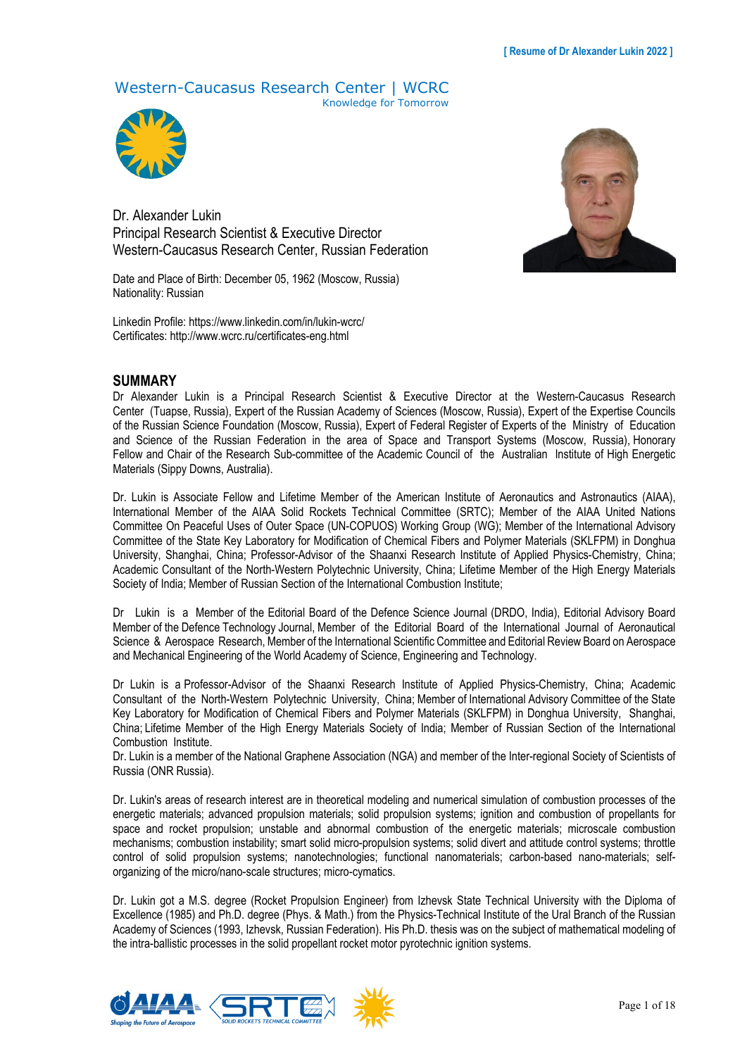# Western-Caucasus Research Center | WCRC

Knowledge for Tomorrow



Dr. Alexander Lukin Principal Research Scientist & Executive Director Western-Caucasus Research Center, Russian Federation

Date and Place of Birth: December 05, 1962 (Moscow, Russia) Nationality: Russian

Linkedin Profile: https://www.linkedin.com/in/lukin-wcrc/ Certificates: http://www.wcrc.ru/certificates-eng.html

#### **SUMMARY**

Dr Alexander Lukin is a Principal Research Scientist & Executive Director at the Western-Caucasus Research Center (Tuapse, Russia), Expert of the Russian Academy of Sciences (Moscow, Russia), Expert of the Expertise Councils of the Russian Science Foundation (Moscow, Russia), Expert of Federal Register of Experts of the Ministry of Education and Science of the Russian Federation in the area of Space and Transport Systems (Moscow, Russia), Honorary Fellow and Chair of the Research Sub-committee of the Academic Council of the Australian Institute of High Energetic Materials (Sippy Downs, Australia).

Dr. Lukin is Associate Fellow and Lifetime Member of the American Institute of Aeronautics and Astronautics (AIAA), International Member of the AIAA Solid Rockets Technical Committee (SRTC); Member of the AIAA United Nations Committee On Peaceful Uses of Outer Space (UN-COPUOS) Working Group (WG); Member of the International Advisory Committee of the State Key Laboratory for Modification of Chemical Fibers and Polymer Materials (SKLFPM) in Donghua University, Shanghai, China; Professor-Advisor of the Shaanxi Research Institute of Applied Physics-Chemistry, China; Academic Consultant of the North-Western Polytechnic University, China; Lifetime Member of the High Energy Materials Society of India; Member of Russian Section of the International Combustion Institute;

Dr Lukin is a Member of the Editorial Board of the Defence Science Journal (DRDO, India), Editorial Advisory Board Member of the Defence Technology Journal, Member of the Editorial Board of the International Journal of Aeronautical Science & Aerospace Research, Member of the International Scientific Committee and Editorial Review Board on Aerospace and Mechanical Engineering of the World Academy of Science, Engineering and Technology.

Dr Lukin is a Professor-Advisor of the Shaanxi Research Institute of Applied Physics-Chemistry, China; Academic Consultant of the North-Western Polytechnic University, China; Member of International Advisory Committee of the State Key Laboratory for Modification of Chemical Fibers and Polymer Materials (SKLFPM) in Donghua University, Shanghai, China; Lifetime Member of the High Energy Materials Society of India; Member of Russian Section of the International Combustion Institute.

Dr. Lukin is a member of the National Graphene Association (NGA) and member of the Inter-regional Society of Scientists of Russia (ONR Russia).

Dr. Lukin's areas of research interest are in theoretical modeling and numerical simulation of combustion processes of the energetic materials; advanced propulsion materials; solid propulsion systems; ignition and combustion of propellants for space and rocket propulsion; unstable and abnormal combustion of the energetic materials; microscale combustion mechanisms; combustion instability; smart solid micro-propulsion systems; solid divert and attitude control systems; throttle control of solid propulsion systems; nanotechnologies; functional nanomaterials; carbon-based nano-materials; selforganizing of the micro/nano-scale structures; micro-cymatics.

Dr. Lukin got a M.S. degree (Rocket Propulsion Engineer) from Izhevsk State Technical University with the Diploma of Excellence (1985) and Ph.D. degree (Phys. & Math.) from the Physics-Technical Institute of the Ural Branch of the Russian Academy of Sciences (1993, Izhevsk, Russian Federation). His Ph.D. thesis was on the subject of mathematical modeling of the intra-ballistic processes in the solid propellant rocket motor pyrotechnic ignition systems.



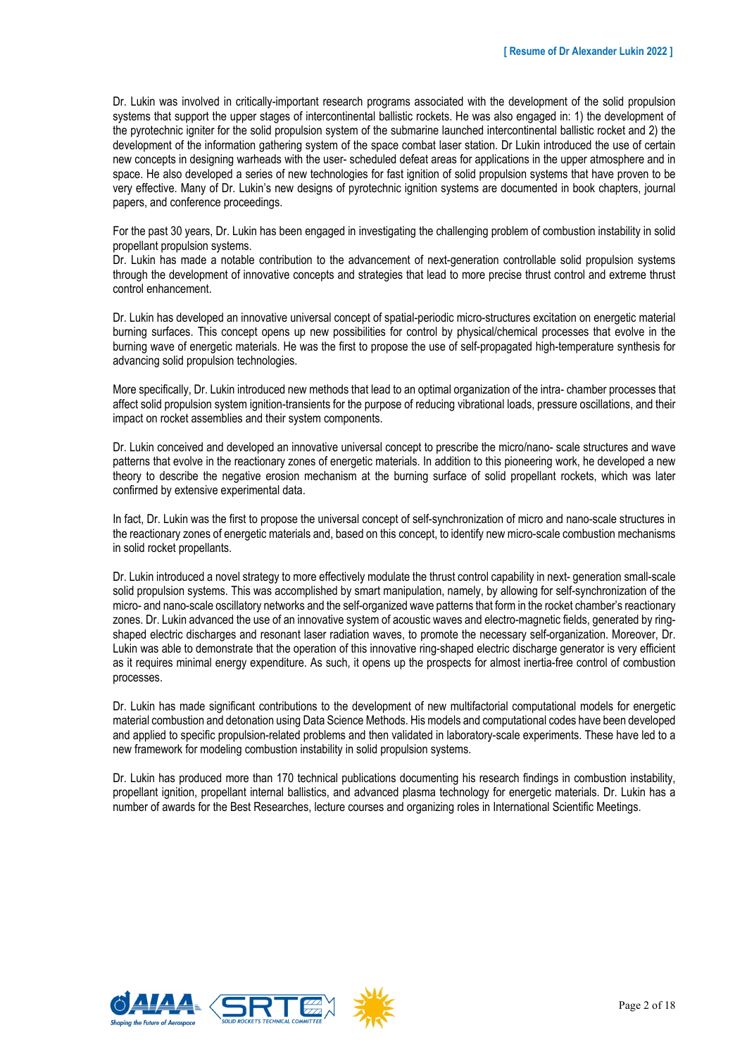Dr. Lukin was involved in critically-important research programs associated with the development of the solid propulsion systems that support the upper stages of intercontinental ballistic rockets. He was also engaged in: 1) the development of the pyrotechnic igniter for the solid propulsion system of the submarine launched intercontinental ballistic rocket and 2) the development of the information gathering system of the space combat laser station. Dr Lukin introduced the use of certain new concepts in designing warheads with the user- scheduled defeat areas for applications in the upper atmosphere and in space. He also developed a series of new technologies for fast ignition of solid propulsion systems that have proven to be very effective. Many of Dr. Lukin's new designs of pyrotechnic ignition systems are documented in book chapters, journal papers, and conference proceedings.

For the past 30 years, Dr. Lukin has been engaged in investigating the challenging problem of combustion instability in solid propellant propulsion systems.

Dr. Lukin has made a notable contribution to the advancement of next-generation controllable solid propulsion systems through the development of innovative concepts and strategies that lead to more precise thrust control and extreme thrust control enhancement.

Dr. Lukin has developed an innovative universal concept of spatial-periodic micro-structures excitation on energetic material burning surfaces. This concept opens up new possibilities for control by physical/chemical processes that evolve in the burning wave of energetic materials. He was the first to propose the use of self-propagated high-temperature synthesis for advancing solid propulsion technologies.

More specifically, Dr. Lukin introduced new methods that lead to an optimal organization of the intra- chamber processes that affect solid propulsion system ignition-transients for the purpose of reducing vibrational loads, pressure oscillations, and their impact on rocket assemblies and their system components.

Dr. Lukin conceived and developed an innovative universal concept to prescribe the micro/nano- scale structures and wave patterns that evolve in the reactionary zones of energetic materials. In addition to this pioneering work, he developed a new theory to describe the negative erosion mechanism at the burning surface of solid propellant rockets, which was later confirmed by extensive experimental data.

In fact, Dr. Lukin was the first to propose the universal concept of self-synchronization of micro and nano-scale structures in the reactionary zones of energetic materials and, based on this concept, to identify new micro-scale combustion mechanisms in solid rocket propellants.

Dr. Lukin introduced a novel strategy to more effectively modulate the thrust control capability in next- generation small-scale solid propulsion systems. This was accomplished by smart manipulation, namely, by allowing for self-synchronization of the micro- and nano-scale oscillatory networks and the self-organized wave patterns that form in the rocket chamber's reactionary zones. Dr. Lukin advanced the use of an innovative system of acoustic waves and electro-magnetic fields, generated by ringshaped electric discharges and resonant laser radiation waves, to promote the necessary self-organization. Moreover, Dr. Lukin was able to demonstrate that the operation of this innovative ring-shaped electric discharge generator is very efficient as it requires minimal energy expenditure. As such, it opens up the prospects for almost inertia-free control of combustion processes.

Dr. Lukin has made significant contributions to the development of new multifactorial computational models for energetic material combustion and detonation using Data Science Methods. His models and computational codes have been developed and applied to specific propulsion-related problems and then validated in laboratory-scale experiments. These have led to a new framework for modeling combustion instability in solid propulsion systems.

Dr. Lukin has produced more than 170 technical publications documenting his research findings in combustion instability, propellant ignition, propellant internal ballistics, and advanced plasma technology for energetic materials. Dr. Lukin has a number of awards for the Best Researches, lecture courses and organizing roles in International Scientific Meetings.

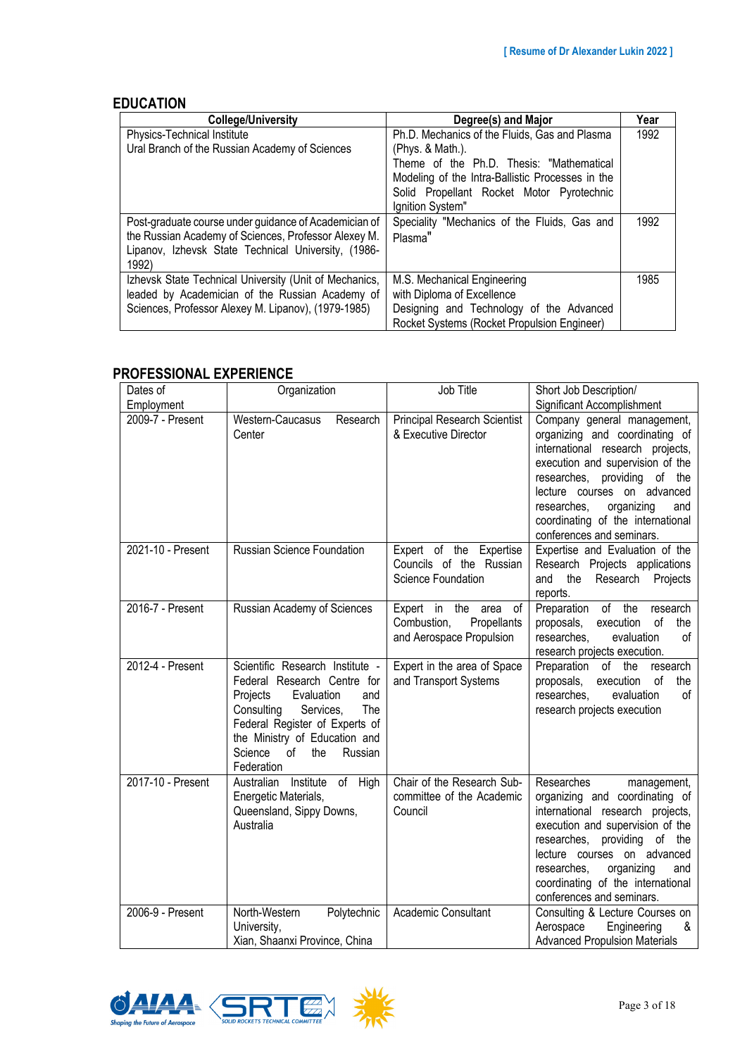### **EDUCATION**

| <b>College/University</b>                              | Degree(s) and Major                              | Year |
|--------------------------------------------------------|--------------------------------------------------|------|
| Physics-Technical Institute                            | Ph.D. Mechanics of the Fluids, Gas and Plasma    | 1992 |
| Ural Branch of the Russian Academy of Sciences         | (Phys. 8 Math.).                                 |      |
|                                                        | Theme of the Ph.D. Thesis: "Mathematical         |      |
|                                                        | Modeling of the Intra-Ballistic Processes in the |      |
|                                                        | Solid Propellant Rocket Motor Pyrotechnic        |      |
|                                                        | Ignition System"                                 |      |
| Post-graduate course under guidance of Academician of  | Speciality "Mechanics of the Fluids, Gas and     | 1992 |
| the Russian Academy of Sciences, Professor Alexey M.   | Plasma"                                          |      |
| Lipanov, Izhevsk State Technical University, (1986-    |                                                  |      |
| 1992)                                                  |                                                  |      |
| Izhevsk State Technical University (Unit of Mechanics, | M.S. Mechanical Engineering                      | 1985 |
| leaded by Academician of the Russian Academy of        | with Diploma of Excellence                       |      |
| Sciences, Professor Alexey M. Lipanov), (1979-1985)    | Designing and Technology of the Advanced         |      |
|                                                        | Rocket Systems (Rocket Propulsion Engineer)      |      |

## **PROFESSIONAL EXPERIENCE**

| Dates of<br>Employment | Organization                                                                                                                                                                                                                                          | Job Title                                                                       | Short Job Description/<br>Significant Accomplishment                                                                                                                                                                                                                                                       |
|------------------------|-------------------------------------------------------------------------------------------------------------------------------------------------------------------------------------------------------------------------------------------------------|---------------------------------------------------------------------------------|------------------------------------------------------------------------------------------------------------------------------------------------------------------------------------------------------------------------------------------------------------------------------------------------------------|
| 2009-7 - Present       | Western-Caucasus<br>Research<br>Center                                                                                                                                                                                                                | <b>Principal Research Scientist</b><br>& Executive Director                     | Company general management,<br>organizing and coordinating of<br>international research projects,<br>execution and supervision of the<br>researches, providing of the<br>lecture courses on advanced<br>organizing<br>researches,<br>and<br>coordinating of the international<br>conferences and seminars. |
| 2021-10 - Present      | Russian Science Foundation                                                                                                                                                                                                                            | Expert of the Expertise<br>Councils of the Russian<br>Science Foundation        | Expertise and Evaluation of the<br>Research Projects applications<br>Research<br>and<br>the<br>Projects<br>reports.                                                                                                                                                                                        |
| 2016-7 - Present       | Russian Academy of Sciences                                                                                                                                                                                                                           | Expert in the area of<br>Combustion,<br>Propellants<br>and Aerospace Propulsion | Preparation of the<br>research<br>of<br>proposals,<br>execution<br>the<br>researches.<br>evaluation<br>$\sigma$ f<br>research projects execution.                                                                                                                                                          |
| 2012-4 - Present       | Scientific Research Institute -<br>Federal Research Centre for<br>Projects<br>Evaluation<br>and<br>Consulting<br>The<br>Services,<br>Federal Register of Experts of<br>the Ministry of Education and<br>Science<br>of<br>the<br>Russian<br>Federation | Expert in the area of Space<br>and Transport Systems                            | Preparation of the<br>research<br>execution<br>of<br>proposals,<br>the<br>researches,<br>evaluation<br>οf<br>research projects execution                                                                                                                                                                   |
| 2017-10 - Present      | Australian Institute of High<br>Energetic Materials,<br>Queensland, Sippy Downs,<br>Australia                                                                                                                                                         | Chair of the Research Sub-<br>committee of the Academic<br>Council              | Researches<br>management,<br>organizing and coordinating of<br>international research projects,<br>execution and supervision of the<br>researches, providing of the<br>lecture courses on advanced<br>researches,<br>organizing<br>and<br>coordinating of the international<br>conferences and seminars.   |
| 2006-9 - Present       | North-Western<br>Polytechnic<br>University,<br>Xian, Shaanxi Province, China                                                                                                                                                                          | Academic Consultant                                                             | Consulting & Lecture Courses on<br>Engineering<br>Aerospace<br>&<br><b>Advanced Propulsion Materials</b>                                                                                                                                                                                                   |



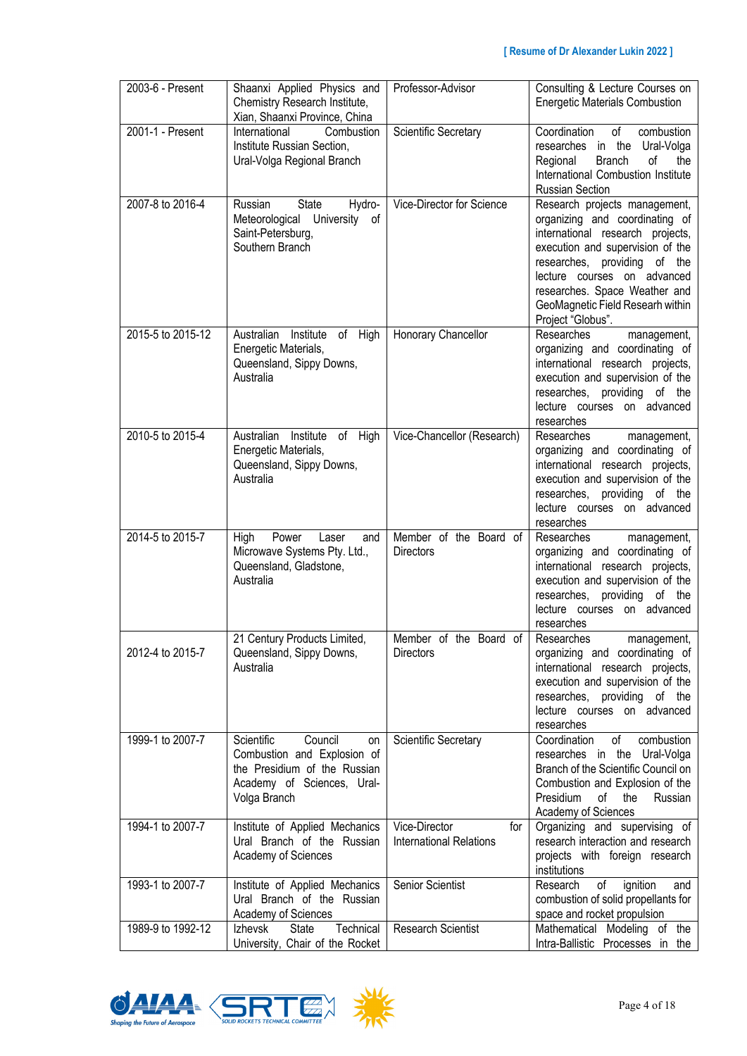| 2003-6 - Present  | Shaanxi Applied Physics and<br>Chemistry Research Institute,<br>Xian, Shaanxi Province, China                                            | Professor-Advisor                                      | Consulting & Lecture Courses on<br><b>Energetic Materials Combustion</b>                                                                                                                                                                                                                         |
|-------------------|------------------------------------------------------------------------------------------------------------------------------------------|--------------------------------------------------------|--------------------------------------------------------------------------------------------------------------------------------------------------------------------------------------------------------------------------------------------------------------------------------------------------|
| 2001-1 - Present  | Combustion<br>International<br>Institute Russian Section,<br>Ural-Volga Regional Branch                                                  | Scientific Secretary                                   | Coordination<br>of<br>combustion<br>researches in the<br>Ural-Volga<br><b>Branch</b><br>οf<br>Regional<br>the<br>International Combustion Institute<br><b>Russian Section</b>                                                                                                                    |
| 2007-8 to 2016-4  | Russian<br><b>State</b><br>Hydro-<br>Meteorological<br>University<br>οf<br>Saint-Petersburg,<br>Southern Branch                          | Vice-Director for Science                              | Research projects management,<br>organizing and coordinating of<br>international research projects,<br>execution and supervision of the<br>researches, providing of the<br>lecture courses on advanced<br>researches. Space Weather and<br>GeoMagnetic Field Researh within<br>Project "Globus". |
| 2015-5 to 2015-12 | Australian Institute<br>of High<br>Energetic Materials,<br>Queensland, Sippy Downs,<br>Australia                                         | Honorary Chancellor                                    | Researches<br>management,<br>organizing and coordinating of<br>international research projects,<br>execution and supervision of the<br>researches,<br>providing of the<br>lecture courses on advanced<br>researches                                                                              |
| 2010-5 to 2015-4  | Australian<br>Institute<br>of<br>High<br>Energetic Materials,<br>Queensland, Sippy Downs,<br>Australia                                   | Vice-Chancellor (Research)                             | Researches<br>management,<br>organizing and coordinating of<br>international research projects,<br>execution and supervision of the<br>researches, providing of the<br>lecture courses on advanced<br>researches                                                                                 |
| 2014-5 to 2015-7  | High<br>Power<br>Laser<br>and<br>Microwave Systems Pty. Ltd.,<br>Queensland, Gladstone,<br>Australia                                     | Member of the Board of<br><b>Directors</b>             | Researches<br>management,<br>organizing and coordinating of<br>international research projects,<br>execution and supervision of the<br>researches,<br>providing of the<br>lecture courses on advanced<br>researches                                                                              |
| 2012-4 to 2015-7  | 21 Century Products Limited,<br>Queensland, Sippy Downs,<br>Australia                                                                    | Member of the Board of<br><b>Directors</b>             | Researches<br>management,<br>organizing and coordinating of<br>international research projects,<br>execution and supervision of the<br>researches, providing of the<br>lecture courses on advanced<br>researches                                                                                 |
| 1999-1 to 2007-7  | Scientific<br>Council<br>on<br>Combustion and Explosion of<br>the Presidium of the Russian<br>Academy of Sciences, Ural-<br>Volga Branch | <b>Scientific Secretary</b>                            | Coordination<br>οf<br>combustion<br>researches in the Ural-Volga<br>Branch of the Scientific Council on<br>Combustion and Explosion of the<br>Presidium<br>the<br>of<br>Russian<br>Academy of Sciences                                                                                           |
| 1994-1 to 2007-7  | Institute of Applied Mechanics<br>Ural Branch of the Russian<br>Academy of Sciences                                                      | Vice-Director<br>for<br><b>International Relations</b> | Organizing and supervising of<br>research interaction and research<br>projects with foreign research<br>institutions                                                                                                                                                                             |
| 1993-1 to 2007-7  | Institute of Applied Mechanics<br>Ural Branch of the Russian<br>Academy of Sciences                                                      | Senior Scientist                                       | of<br>ignition<br>Research<br>and<br>combustion of solid propellants for<br>space and rocket propulsion                                                                                                                                                                                          |
| 1989-9 to 1992-12 | State<br>Technical<br>Izhevsk<br>University, Chair of the Rocket                                                                         | <b>Research Scientist</b>                              | Mathematical Modeling of the<br>Intra-Ballistic Processes in the                                                                                                                                                                                                                                 |



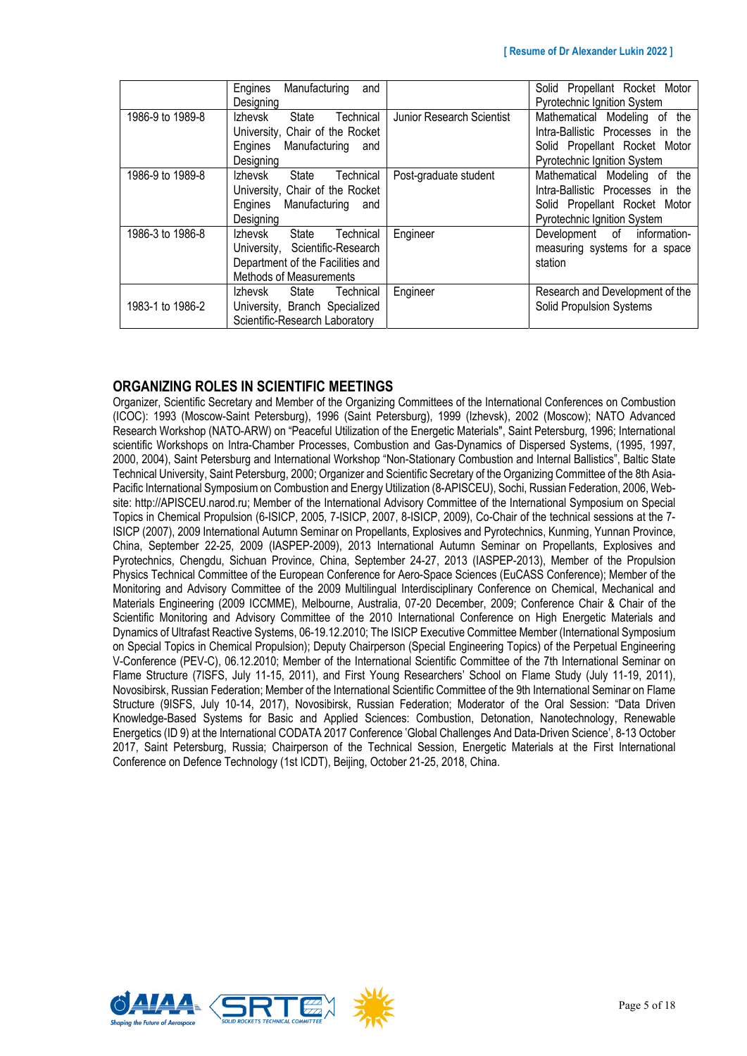|                  | Manufacturing<br>Engines<br>and<br>Designing                                                                                    |                           | Solid Propellant Rocket Motor<br>Pyrotechnic Ignition System                                                                               |
|------------------|---------------------------------------------------------------------------------------------------------------------------------|---------------------------|--------------------------------------------------------------------------------------------------------------------------------------------|
| 1986-9 to 1989-8 | Technical<br>Izhevsk<br>State<br>University, Chair of the Rocket<br>Engines Manufacturing and<br>Designing                      | Junior Research Scientist | Mathematical Modeling of<br>the<br>Intra-Ballistic Processes in the<br>Solid Propellant Rocket Motor<br><b>Pyrotechnic Ignition System</b> |
| 1986-9 to 1989-8 | Izhevsk State<br>Technical<br>University, Chair of the Rocket<br>Manufacturing<br>Engines<br>and<br>Designing                   | Post-graduate student     | Mathematical Modeling of the<br>Intra-Ballistic Processes in the<br>Solid Propellant Rocket Motor<br>Pyrotechnic Ignition System           |
| 1986-3 to 1986-8 | Izhevsk<br>Technical<br>State<br>University, Scientific-Research<br>Department of the Facilities and<br>Methods of Measurements | Engineer                  | Development of information-<br>measuring systems for a space<br>station                                                                    |
| 1983-1 to 1986-2 | Technical<br>Izhevsk<br>State<br>University, Branch Specialized<br>Scientific-Research Laboratory                               | Engineer                  | Research and Development of the<br><b>Solid Propulsion Systems</b>                                                                         |

### **ORGANIZING ROLES IN SCIENTIFIC MEETINGS**

Organizer, Scientific Secretary and Member of the Organizing Committees of the International Conferences on Combustion (ICOC): 1993 (Moscow-Saint Petersburg), 1996 (Saint Petersburg), 1999 (Izhevsk), 2002 (Moscow); NATO Advanced Research Workshop (NATO-ARW) on "Peaceful Utilization of the Energetic Materials", Saint Petersburg, 1996; International scientific Workshops on Intra-Chamber Processes, Combustion and Gas-Dynamics of Dispersed Systems, (1995, 1997, 2000, 2004), Saint Petersburg and International Workshop "Non-Stationary Combustion and Internal Ballistics", Baltic State Technical University, Saint Petersburg, 2000; Organizer and Scientific Secretary of the Organizing Committee of the 8th Asia-Pacific International Symposium on Combustion and Energy Utilization (8-APISCEU), Sochi, Russian Federation, 2006, Website: http://APISCEU.narod.ru; Member of the International Advisory Committee of the International Symposium on Special Topics in Chemical Propulsion (6-ISICP, 2005, 7-ISICP, 2007, 8-ISICP, 2009), Co-Chair of the technical sessions at the 7- ISICP (2007), 2009 International Autumn Seminar on Propellants, Explosives and Pyrotechnics, Kunming, Yunnan Province, China, September 22-25, 2009 (IASPEP-2009), 2013 International Autumn Seminar on Propellants, Explosives and Pyrotechnics, Chengdu, Sichuan Province, China, September 24-27, 2013 (IASPEP-2013), Member of the Propulsion Physics Technical Committee of the European Conference for Aero-Space Sciences (EuCASS Conference); Member of the Monitoring and Advisory Committee of the 2009 Multilingual Interdisciplinary Conference on Chemical, Mechanical and Materials Engineering (2009 ICCMME), Melbourne, Australia, 07-20 December, 2009; Conference Chair & Chair of the Scientific Monitoring and Advisory Committee of the 2010 International Conference on High Energetic Materials and Dynamics of Ultrafast Reactive Systems, 06-19.12.2010; The ISICP Executive Committee Member (International Symposium on Special Topics in Chemical Propulsion); Deputy Chairperson (Special Engineering Topics) of the Perpetual Engineering V-Conference (PEV-C), 06.12.2010; Member of the International Scientific Committee of the 7th International Seminar on Flame Structure (7ISFS, July 11-15, 2011), and First Young Researchers' School on Flame Study (July 11-19, 2011), Novosibirsk, Russian Federation; Member of the International Scientific Committee of the 9th International Seminar on Flame Structure (9ISFS, July 10-14, 2017), Novosibirsk, Russian Federation; Moderator of the Oral Session: "Data Driven Knowledge-Based Systems for Basic and Applied Sciences: Combustion, Detonation, Nanotechnology, Renewable Energetics (ID 9) at the International CODATA 2017 Conference 'Global Challenges And Data-Driven Science', 8-13 October 2017, Saint Petersburg, Russia; Chairperson of the Technical Session, Energetic Materials at the First International Conference on Defence Technology (1st ICDT), Beijing, October 21-25, 2018, China.

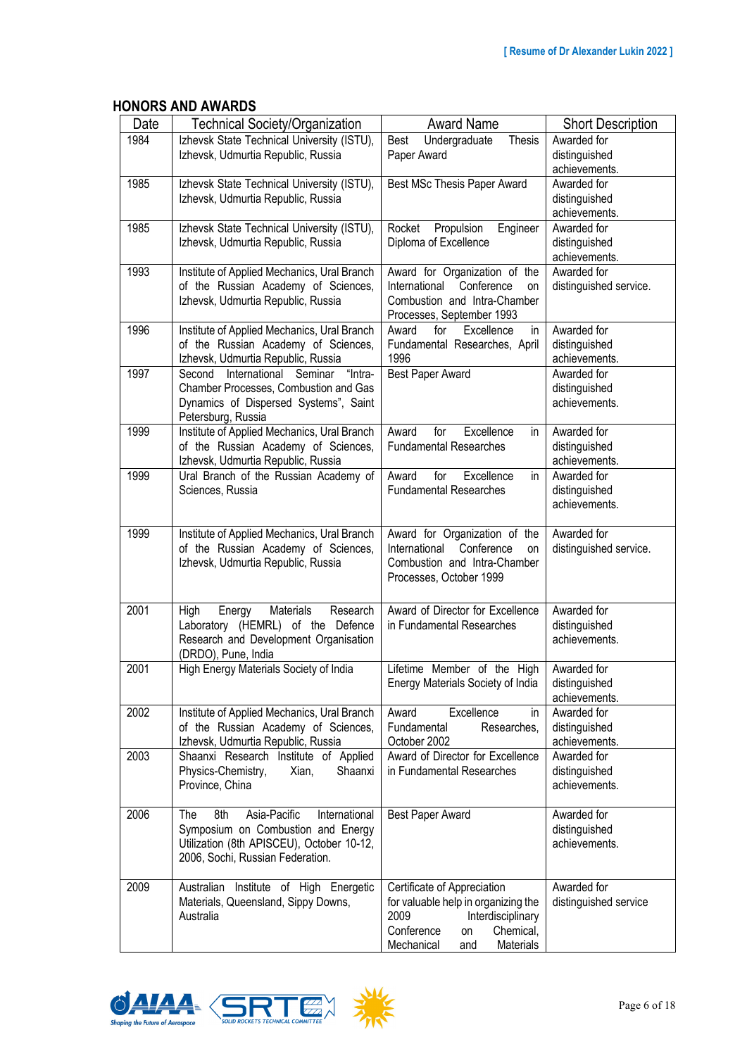# **HONORS AND AWARDS**

| Date | <b>Technical Society/Organization</b>                                                                                                                              | <b>Award Name</b>                                                                                                                                                  | <b>Short Description</b>                      |
|------|--------------------------------------------------------------------------------------------------------------------------------------------------------------------|--------------------------------------------------------------------------------------------------------------------------------------------------------------------|-----------------------------------------------|
| 1984 | Izhevsk State Technical University (ISTU),<br>Izhevsk, Udmurtia Republic, Russia                                                                                   | Undergraduate<br>Best<br><b>Thesis</b><br>Paper Award                                                                                                              | Awarded for<br>distinguished<br>achievements. |
| 1985 | Izhevsk State Technical University (ISTU),<br>Izhevsk, Udmurtia Republic, Russia                                                                                   | Best MSc Thesis Paper Award                                                                                                                                        | Awarded for<br>distinguished<br>achievements. |
| 1985 | Izhevsk State Technical University (ISTU),<br>Izhevsk, Udmurtia Republic, Russia                                                                                   | Propulsion<br>Engineer<br>Rocket<br>Diploma of Excellence                                                                                                          | Awarded for<br>distinguished<br>achievements. |
| 1993 | Institute of Applied Mechanics, Ural Branch<br>of the Russian Academy of Sciences,<br>Izhevsk, Udmurtia Republic, Russia                                           | Award for Organization of the<br>International<br>Conference<br>on<br>Combustion and Intra-Chamber<br>Processes, September 1993                                    | Awarded for<br>distinguished service.         |
| 1996 | Institute of Applied Mechanics, Ural Branch<br>of the Russian Academy of Sciences,<br>Izhevsk, Udmurtia Republic, Russia                                           | Excellence<br>Award<br>for<br>in.<br>Fundamental Researches, April<br>1996                                                                                         | Awarded for<br>distinguished<br>achievements. |
| 1997 | Second International Seminar<br>"Intra-<br>Chamber Processes, Combustion and Gas<br>Dynamics of Dispersed Systems", Saint<br>Petersburg, Russia                    | <b>Best Paper Award</b>                                                                                                                                            | Awarded for<br>distinguished<br>achievements. |
| 1999 | Institute of Applied Mechanics, Ural Branch<br>of the Russian Academy of Sciences,<br>Izhevsk, Udmurtia Republic, Russia                                           | Excellence<br>for<br>Award<br>in.<br><b>Fundamental Researches</b>                                                                                                 | Awarded for<br>distinguished<br>achievements. |
| 1999 | Ural Branch of the Russian Academy of<br>Sciences, Russia                                                                                                          | Award<br>for<br>Excellence<br>in.<br><b>Fundamental Researches</b>                                                                                                 | Awarded for<br>distinguished<br>achievements. |
| 1999 | Institute of Applied Mechanics, Ural Branch<br>of the Russian Academy of Sciences,<br>Izhevsk, Udmurtia Republic, Russia                                           | Award for Organization of the<br>Conference<br>International<br>on<br>Combustion and Intra-Chamber<br>Processes, October 1999                                      | Awarded for<br>distinguished service.         |
| 2001 | Materials<br>Research<br>High<br>Energy<br>Laboratory (HEMRL) of the Defence<br>Research and Development Organisation<br>(DRDO), Pune, India                       | Award of Director for Excellence<br>in Fundamental Researches                                                                                                      | Awarded for<br>distinguished<br>achievements. |
| 2001 | High Energy Materials Society of India                                                                                                                             | Lifetime Member of the High<br>Energy Materials Society of India                                                                                                   | Awarded for<br>distinguished<br>achievements. |
| 2002 | Institute of Applied Mechanics, Ural Branch<br>of the Russian Academy of Sciences,<br>Izhevsk, Udmurtia Republic, Russia                                           | Excellence<br>Award<br>in<br>Fundamental<br>Researches,<br>October 2002                                                                                            | Awarded for<br>distinguished<br>achievements. |
| 2003 | Shaanxi Research Institute of Applied<br>Physics-Chemistry,<br>Shaanxi<br>Xian,<br>Province, China                                                                 | Award of Director for Excellence<br>in Fundamental Researches                                                                                                      | Awarded for<br>distinguished<br>achievements. |
| 2006 | 8th<br>Asia-Pacific<br>International<br>The<br>Symposium on Combustion and Energy<br>Utilization (8th APISCEU), October 10-12,<br>2006, Sochi, Russian Federation. | Best Paper Award                                                                                                                                                   | Awarded for<br>distinguished<br>achievements. |
| 2009 | Australian Institute of High Energetic<br>Materials, Queensland, Sippy Downs,<br>Australia                                                                         | Certificate of Appreciation<br>for valuable help in organizing the<br>2009<br>Interdisciplinary<br>Conference<br>Chemical,<br>on<br>Mechanical<br>Materials<br>and | Awarded for<br>distinguished service          |



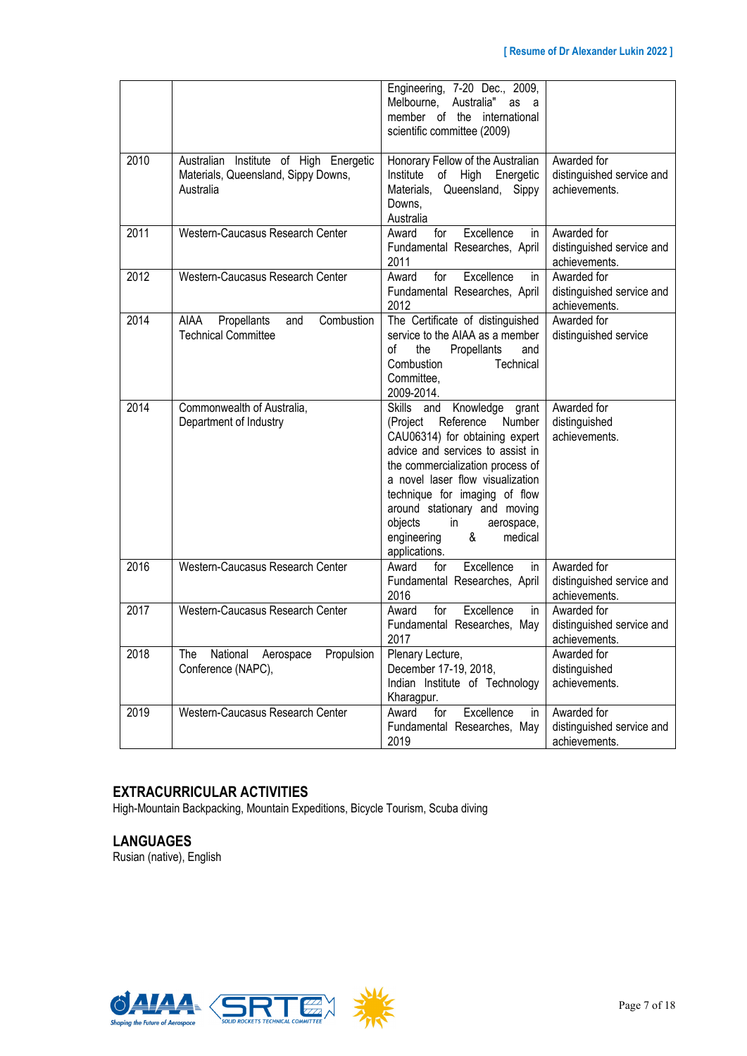|      |                                                                                            | Engineering, 7-20 Dec., 2009,<br>Melbourne, Australia"<br>as a<br>member of the international<br>scientific committee (2009)                                                                                                                                                                                                                                              |                                                           |
|------|--------------------------------------------------------------------------------------------|---------------------------------------------------------------------------------------------------------------------------------------------------------------------------------------------------------------------------------------------------------------------------------------------------------------------------------------------------------------------------|-----------------------------------------------------------|
| 2010 | Australian Institute of High Energetic<br>Materials, Queensland, Sippy Downs,<br>Australia | Honorary Fellow of the Australian<br>of High Energetic<br>Institute<br>Materials, Queensland, Sippy<br>Downs.<br>Australia                                                                                                                                                                                                                                                | Awarded for<br>distinguished service and<br>achievements. |
| 2011 | Western-Caucasus Research Center                                                           | Excellence<br>Award<br>for<br>in.<br>Fundamental Researches, April<br>2011                                                                                                                                                                                                                                                                                                | Awarded for<br>distinguished service and<br>achievements. |
| 2012 | Western-Caucasus Research Center                                                           | Excellence<br>for<br>Award<br>in<br>Fundamental Researches, April<br>2012                                                                                                                                                                                                                                                                                                 | Awarded for<br>distinguished service and<br>achievements. |
| 2014 | Combustion<br><b>AIAA</b><br>Propellants<br>and<br><b>Technical Committee</b>              | The Certificate of distinguished<br>service to the AIAA as a member<br>οf<br>the<br>Propellants<br>and<br>Combustion<br>Technical<br>Committee.<br>2009-2014.                                                                                                                                                                                                             | Awarded for<br>distinguished service                      |
| 2014 | Commonwealth of Australia,<br>Department of Industry                                       | Skills and<br>Knowledge grant<br>Reference<br>Number<br>(Project<br>CAU06314) for obtaining expert<br>advice and services to assist in<br>the commercialization process of<br>a novel laser flow visualization<br>technique for imaging of flow<br>around stationary and moving<br>objects<br>$\mathsf{in}$<br>aerospace,<br>engineering<br>&<br>medical<br>applications. | Awarded for<br>distinguished<br>achievements.             |
| 2016 | Western-Caucasus Research Center                                                           | Award<br>for<br>Excellence<br>in<br>Fundamental Researches, April<br>2016                                                                                                                                                                                                                                                                                                 | Awarded for<br>distinguished service and<br>achievements. |
| 2017 | Western-Caucasus Research Center                                                           | Excellence<br>for<br>in<br>Award<br>Fundamental Researches, May<br>2017                                                                                                                                                                                                                                                                                                   | Awarded for<br>distinguished service and<br>achievements. |
| 2018 | National<br>Propulsion<br><b>The</b><br>Aerospace<br>Conference (NAPC),                    | Plenary Lecture,<br>December 17-19, 2018,<br>Indian Institute of Technology<br>Kharagpur.                                                                                                                                                                                                                                                                                 | Awarded for<br>distinguished<br>achievements.             |
| 2019 | Western-Caucasus Research Center                                                           | Excellence<br>Award<br>for<br>in.<br>Fundamental Researches, May<br>2019                                                                                                                                                                                                                                                                                                  | Awarded for<br>distinguished service and<br>achievements. |

# **EXTRACURRICULAR ACTIVITIES**

High-Mountain Backpacking, Mountain Expeditions, Bicycle Tourism, Scuba diving

## **LANGUAGES**

Rusian (native), English

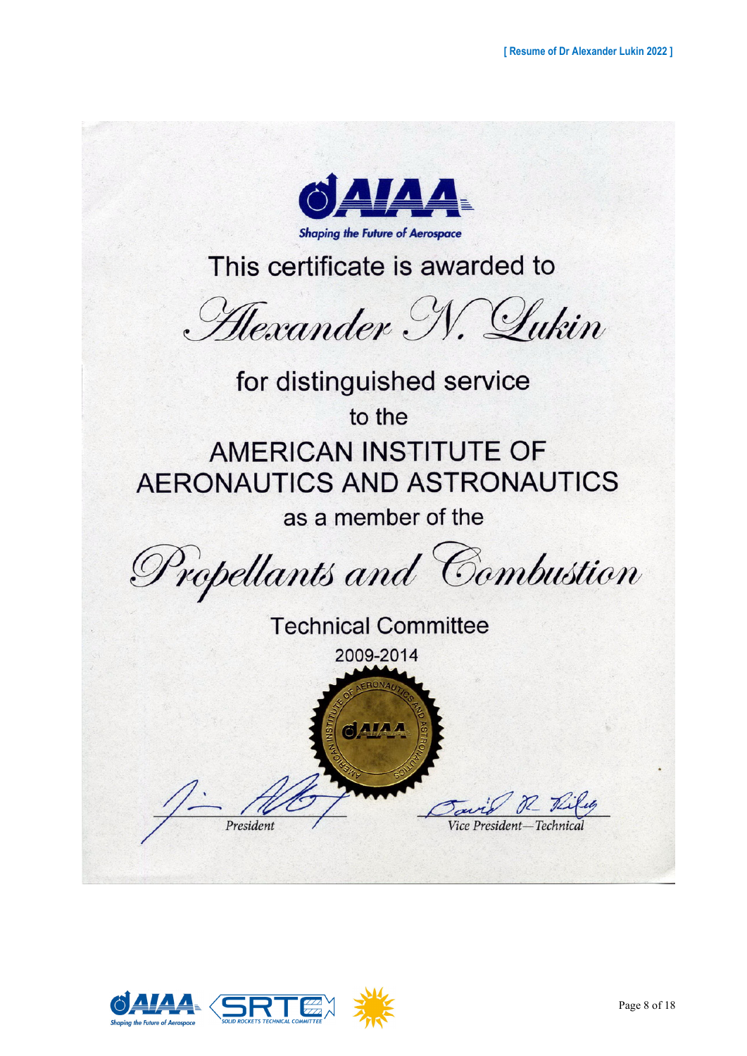

This certificate is awarded to

Hexander N. Lukin

for distinguished service to the AMERICAN INSTITUTE OF **AERONAUTICS AND ASTRONAUTICS** as a member of the

Propellants and Combustion

**Technical Committee** 2009-2014  $0.114$ President Vice President

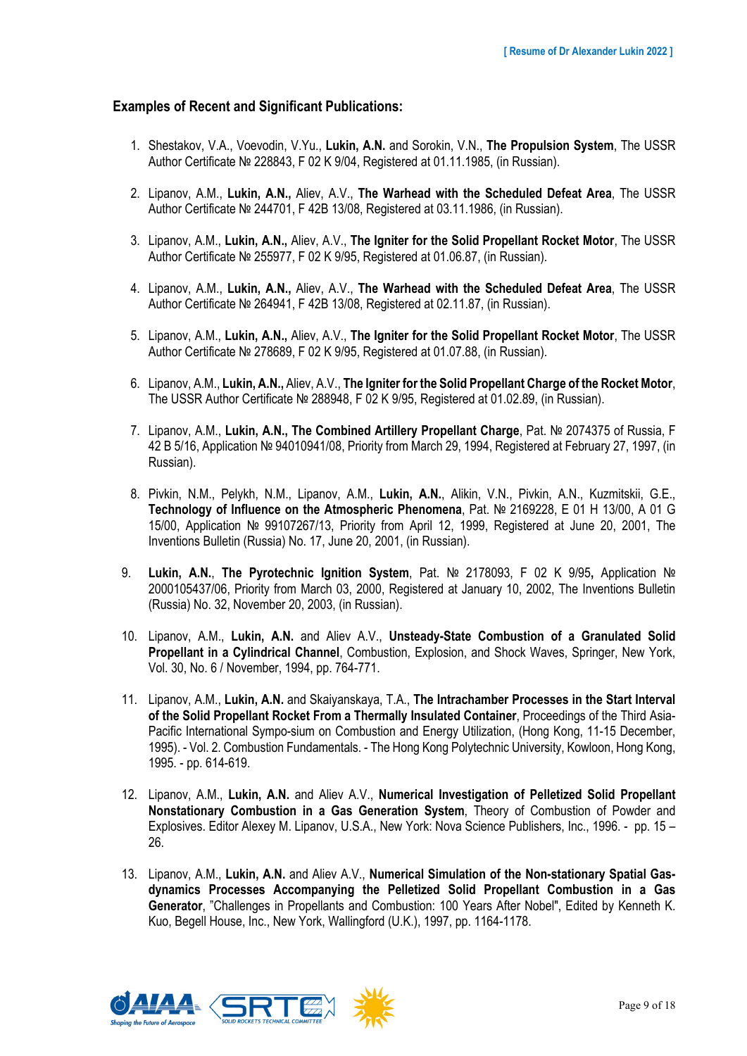#### **Examples of Recent and Significant Publications:**

- 1. Shestakov, V.A., Voevodin, V.Yu., **Lukin, A.N.** and Sorokin, V.N., **The Propulsion System**, The USSR Author Certificate № 228843, F 02 K 9/04, Registered at 01.11.1985, (in Russian).
- 2. Lipanov, A.M., **Lukin, A.N.,** Aliev, A.V., **The Warhead with the Scheduled Defeat Area**, The USSR Author Certificate № 244701, F 42B 13/08, Registered at 03.11.1986, (in Russian).
- 3. Lipanov, A.M., **Lukin, A.N.,** Aliev, A.V., **The Igniter for the Solid Propellant Rocket Motor**, The USSR Author Certificate № 255977, F 02 K 9/95, Registered at 01.06.87, (in Russian).
- 4. Lipanov, A.M., **Lukin, A.N.,** Aliev, A.V., **The Warhead with the Scheduled Defeat Area**, The USSR Author Certificate № 264941, F 42B 13/08, Registered at 02.11.87, (in Russian).
- 5. Lipanov, A.M., **Lukin, A.N.,** Aliev, A.V., **The Igniter for the Solid Propellant Rocket Motor**, The USSR Author Certificate № 278689, F 02 K 9/95, Registered at 01.07.88, (in Russian).
- 6. Lipanov, A.M., **Lukin, A.N.,** Aliev, A.V., **The Igniter for the Solid Propellant Charge of the Rocket Motor**, The USSR Author Certificate № 288948, F 02 K 9/95, Registered at 01.02.89, (in Russian).
- 7. Lipanov, A.M., **Lukin, A.N., The Combined Artillery Propellant Charge**, Pat. № 2074375 of Russia, F 42 B 5/16, Application № 94010941/08, Priority from March 29, 1994, Registered at February 27, 1997, (in Russian).
- 8. Pivkin, N.M., Pelykh, N.M., Lipanov, A.M., **Lukin, A.N.**, Alikin, V.N., Pivkin, A.N., Kuzmitskii, G.E., **Technology of Influence on the Atmospheric Phenomena**, Pat. № 2169228, E 01 H 13/00, A 01 G 15/00, Application № 99107267/13, Priority from April 12, 1999, Registered at June 20, 2001, The Inventions Bulletin (Russia) No. 17, June 20, 2001, (in Russian).
- 9. **Lukin, A.N.**, **The Pyrotechnic Ignition System**, Pat. № 2178093, F 02 K 9/95**,** Application № 2000105437/06, Priority from March 03, 2000, Registered at January 10, 2002, The Inventions Bulletin (Russia) No. 32, November 20, 2003, (in Russian).
- 10. Lipanov, A.M., **Lukin, A.N.** and Aliev A.V., **Unsteady-State Combustion of a Granulated Solid Propellant in a Cylindrical Channel**, Combustion, Explosion, and Shock Waves, Springer, New York, Vol. 30, No. 6 / November, 1994, pp. 764-771.
- 11. Lipanov, A.M., **Lukin, A.N.** and Skaiyanskaya, T.A., **The Intrachamber Processes in the Start Interval of the Solid Propellant Rocket From a Thermally Insulated Container**, Proceedings of the Third Asia-Pacific International Sympo-sium on Combustion and Energy Utilization, (Hong Kong, 11-15 December, 1995). - Vol. 2. Combustion Fundamentals. - The Hong Kong Polytechnic University, Kowloon, Hong Kong, 1995. - pp. 614-619.
- 12. Lipanov, A.M., **Lukin, A.N.** and Aliev A.V., **Numerical Investigation of Pelletized Solid Propellant Nonstationary Combustion in a Gas Generation System**, Theory of Combustion of Powder and Explosives. Editor Alexey M. Lipanov, U.S.A., New York: Nova Science Publishers, Inc., 1996. - pp. 15 – 26.
- 13. Lipanov, A.M., **Lukin, A.N.** and Aliev A.V., **Numerical Simulation of the Non-stationary Spatial Gasdynamics Processes Accompanying the Pelletized Solid Propellant Combustion in a Gas Generator**, "Challenges in Propellants and Combustion: 100 Years After Nobel", Edited by Kenneth K. Kuo, Begell House, Inc., New York, Wallingford (U.K.), 1997, pp. 1164-1178.

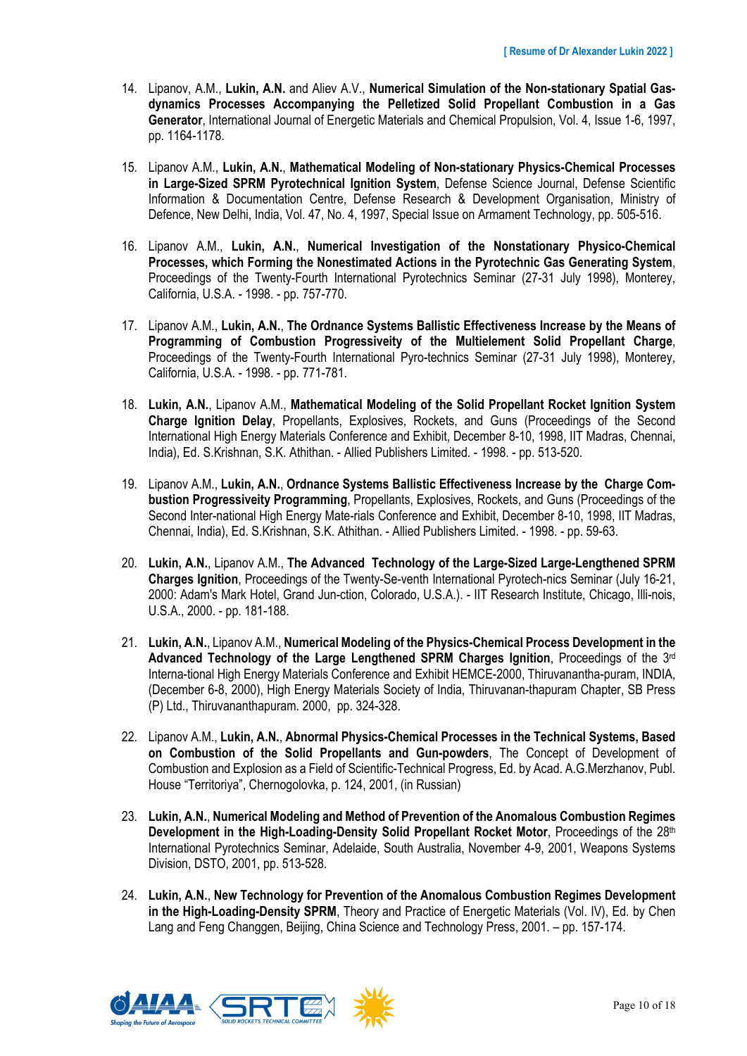- 14. Lipanov, A.M., **Lukin, A.N.** and Aliev A.V., **Numerical Simulation of the Non-stationary Spatial Gasdynamics Processes Accompanying the Pelletized Solid Propellant Combustion in a Gas Generator**, International Journal of Energetic Materials and Chemical Propulsion, Vol. 4, Issue 1-6, 1997, pp. 1164-1178.
- 15. Lipanov A.M., **Lukin, A.N.**, **Mathematical Modeling of Non-stationary Physics-Chemical Processes in Large-Sized SPRM Pyrotechnical Ignition System**, Defense Science Journal, Defense Scientific Information & Documentation Centre, Defense Research & Development Organisation, Ministry of Defence, New Delhi, India, Vol. 47, No. 4, 1997, Special Issue on Armament Technology, pp. 505-516.
- 16. Lipanov A.M., **Lukin, A.N.**, **Numerical Investigation of the Nonstationary Physico-Chemical Processes, which Forming the Nonestimated Actions in the Pyrotechnic Gas Generating System**, Proceedings of the Twenty-Fourth International Pyrotechnics Seminar (27-31 July 1998), Monterey, California, U.S.A. - 1998. - pp. 757-770.
- 17. Lipanov A.M., **Lukin, A.N.**, **The Ordnance Systems Ballistic Effectiveness Increase by the Means of Programming of Combustion Progressiveity of the Multielement Solid Propellant Charge**, Proceedings of the Twenty-Fourth International Pyro-technics Seminar (27-31 July 1998), Monterey, California, U.S.A. - 1998. - pp. 771-781.
- 18. **Lukin, A.N.**, Lipanov A.M., **Mathematical Modeling of the Solid Propellant Rocket Ignition System Charge Ignition Delay**, Propellants, Explosives, Rockets, and Guns (Proceedings of the Second International High Energy Materials Conference and Exhibit, December 8-10, 1998, IIT Madras, Chennai, India), Ed. S.Krishnan, S.K. Athithan. - Allied Publishers Limited. - 1998. - pp. 513-520.
- 19. Lipanov A.M., **Lukin, A.N.**, **Ordnance Systems Ballistic Effectiveness Increase by the Charge Combustion Progressiveity Programming**, Propellants, Explosives, Rockets, and Guns (Proceedings of the Second Inter-national High Energy Mate-rials Conference and Exhibit, December 8-10, 1998, IIT Madras, Chennai, India), Ed. S.Krishnan, S.K. Athithan. - Allied Publishers Limited. - 1998. - pp. 59-63.
- 20. **Lukin, A.N.**, Lipanov A.M., **The Advanced Technology of the Large-Sized Large-Lengthened SPRM Charges Ignition**, Proceedings of the Twenty-Se-venth International Pyrotech-nics Seminar (July 16-21, 2000: Adam's Mark Hotel, Grand Jun-ction, Colorado, U.S.A.). - IIT Research Institute, Chicago, Illi-nois, U.S.A., 2000. - pp. 181-188.
- 21. **Lukin, A.N.**, Lipanov A.M., **Numerical Modeling of the Physics-Chemical Process Development in the Advanced Technology of the Large Lengthened SPRM Charges Ignition**, Proceedings of the 3rd Interna-tional High Energy Materials Conference and Exhibit HEMCE-2000, Thiruvanantha-puram, INDIA, (December 6-8, 2000), High Energy Materials Society of India, Thiruvanan-thapuram Chapter, SB Press (P) Ltd., Thiruvananthapuram. 2000, pp. 324-328.
- 22. Lipanov A.M., **Lukin, A.N.**, **Abnormal Physics-Chemical Processes in the Technical Systems, Based on Combustion of the Solid Propellants and Gun-powders**, The Concept of Development of Combustion and Explosion as a Field of Scientific-Technical Progress, Ed. by Acad. A.G.Merzhanov, Publ. House "Territoriya", Chernogolovka, p. 124, 2001, (in Russian)
- 23. **Lukin, A.N.**, **Numerical Modeling and Method of Prevention of the Anomalous Combustion Regimes**  Development in the High-Loading-Density Solid Propellant Rocket Motor, Proceedings of the 28<sup>th</sup> International Pyrotechnics Seminar, Adelaide, South Australia, November 4-9, 2001, Weapons Systems Division, DSTO, 2001, pp. 513-528.
- 24. **Lukin, A.N.**, **New Technology for Prevention of the Anomalous Combustion Regimes Development in the High-Loading-Density SPRM**, Theory and Practice of Energetic Materials (Vol. IV), Ed. by Chen Lang and Feng Changgen, Beijing, China Science and Technology Press, 2001. – pp. 157-174.

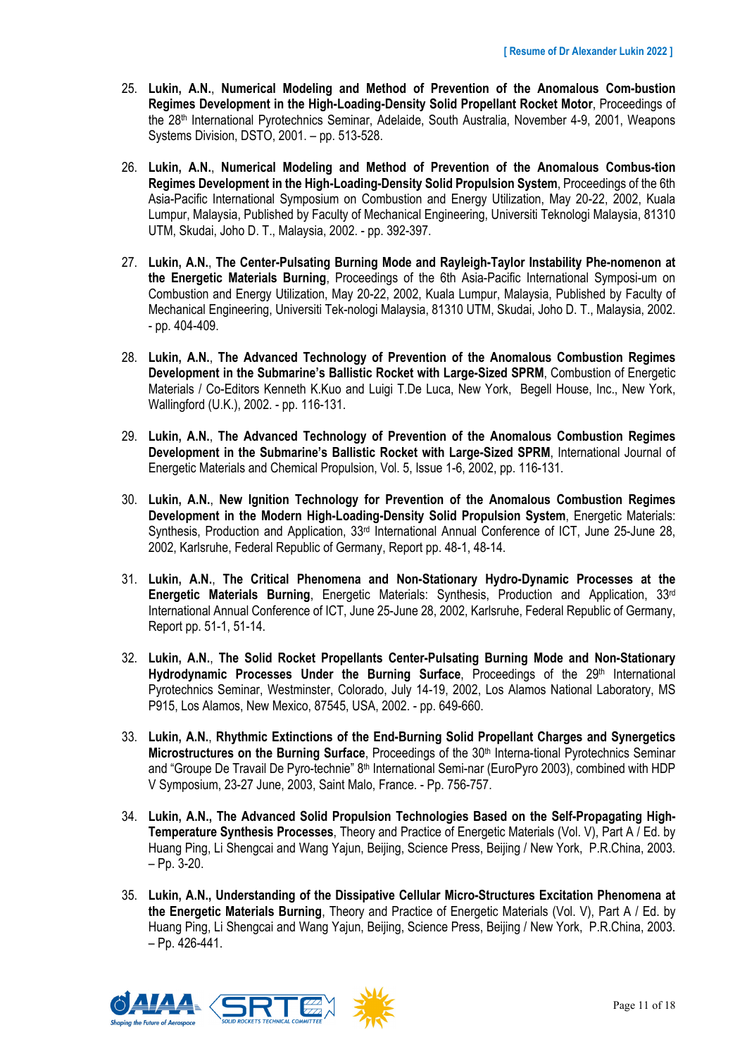- 25. **Lukin, A.N.**, **Numerical Modeling and Method of Prevention of the Anomalous Com-bustion Regimes Development in the High-Loading-Density Solid Propellant Rocket Motor**, Proceedings of the 28th International Pyrotechnics Seminar, Adelaide, South Australia, November 4-9, 2001, Weapons Systems Division, DSTO, 2001. – pp. 513-528.
- 26. **Lukin, A.N.**, **Numerical Modeling and Method of Prevention of the Anomalous Combus-tion Regimes Development in the High-Loading-Density Solid Propulsion System**, Proceedings of the 6th Asia-Pacific International Symposium on Combustion and Energy Utilization, May 20-22, 2002, Kuala Lumpur, Malaysia, Published by Faculty of Mechanical Engineering, Universiti Teknologi Malaysia, 81310 UTM, Skudai, Joho D. T., Malaysia, 2002. - pp. 392-397.
- 27. **Lukin, A.N.**, **The Center-Pulsating Burning Mode and Rayleigh-Taylor Instability Phe-nomenon at the Energetic Materials Burning**, Proceedings of the 6th Asia-Pacific International Symposi-um on Combustion and Energy Utilization, May 20-22, 2002, Kuala Lumpur, Malaysia, Published by Faculty of Mechanical Engineering, Universiti Tek-nologi Malaysia, 81310 UTM, Skudai, Joho D. T., Malaysia, 2002. - pp. 404-409.
- 28. **Lukin, A.N.**, **The Advanced Technology of Prevention of the Anomalous Combustion Regimes Development in the Submarine's Ballistic Rocket with Large-Sized SPRM**, Combustion of Energetic Materials / Co-Editors Kenneth K.Kuo and Luigi T.De Luca, New York, Begell House, Inc., New York, Wallingford (U.K.), 2002. - pp. 116-131.
- 29. **Lukin, A.N.**, **The Advanced Technology of Prevention of the Anomalous Combustion Regimes Development in the Submarine's Ballistic Rocket with Large-Sized SPRM**, International Journal of Energetic Materials and Chemical Propulsion, Vol. 5, Issue 1-6, 2002, pp. 116-131.
- 30. **Lukin, A.N.**, **New Ignition Technology for Prevention of the Anomalous Combustion Regimes Development in the Modern High-Loading-Density Solid Propulsion System**, Energetic Materials: Synthesis, Production and Application, 33<sup>rd</sup> International Annual Conference of ICT, June 25-June 28, 2002, Karlsruhe, Federal Republic of Germany, Report pp. 48-1, 48-14.
- 31. **Lukin, A.N.**, **The Critical Phenomena and Non-Stationary Hydro-Dynamic Processes at the Energetic Materials Burning**, Energetic Materials: Synthesis, Production and Application, 33rd International Annual Conference of ICT, June 25-June 28, 2002, Karlsruhe, Federal Republic of Germany, Report pp. 51-1, 51-14.
- 32. **Lukin, A.N.**, **The Solid Rocket Propellants Center-Pulsating Burning Mode and Non-Stationary**  Hydrodynamic Processes Under the Burning Surface, Proceedings of the 29<sup>th</sup> International Pyrotechnics Seminar, Westminster, Colorado, July 14-19, 2002, Los Alamos National Laboratory, MS P915, Los Alamos, New Mexico, 87545, USA, 2002. - pp. 649-660.
- 33. **Lukin, A.N.**, **Rhythmic Extinctions of the End-Burning Solid Propellant Charges and Synergetics Microstructures on the Burning Surface**, Proceedings of the 30th Interna-tional Pyrotechnics Seminar and "Groupe De Travail De Pyro-technie" 8<sup>th</sup> International Semi-nar (EuroPyro 2003), combined with HDP V Symposium, 23-27 June, 2003, Saint Malo, France. - Pp. 756-757.
- 34. **Lukin, A.N., The Advanced Solid Propulsion Technologies Based on the Self-Propagating High-Temperature Synthesis Processes**, Theory and Practice of Energetic Materials (Vol. V), Part A / Ed. by Huang Ping, Li Shengcai and Wang Yajun, Beijing, Science Press, Beijing / New York, P.R.China, 2003. – Pp. 3-20.
- 35. **Lukin, A.N., Understanding of the Dissipative Cellular Micro-Structures Excitation Phenomena at the Energetic Materials Burning**, Theory and Practice of Energetic Materials (Vol. V), Part A / Ed. by Huang Ping, Li Shengcai and Wang Yajun, Beijing, Science Press, Beijing / New York, P.R.China, 2003. – Pp. 426-441.

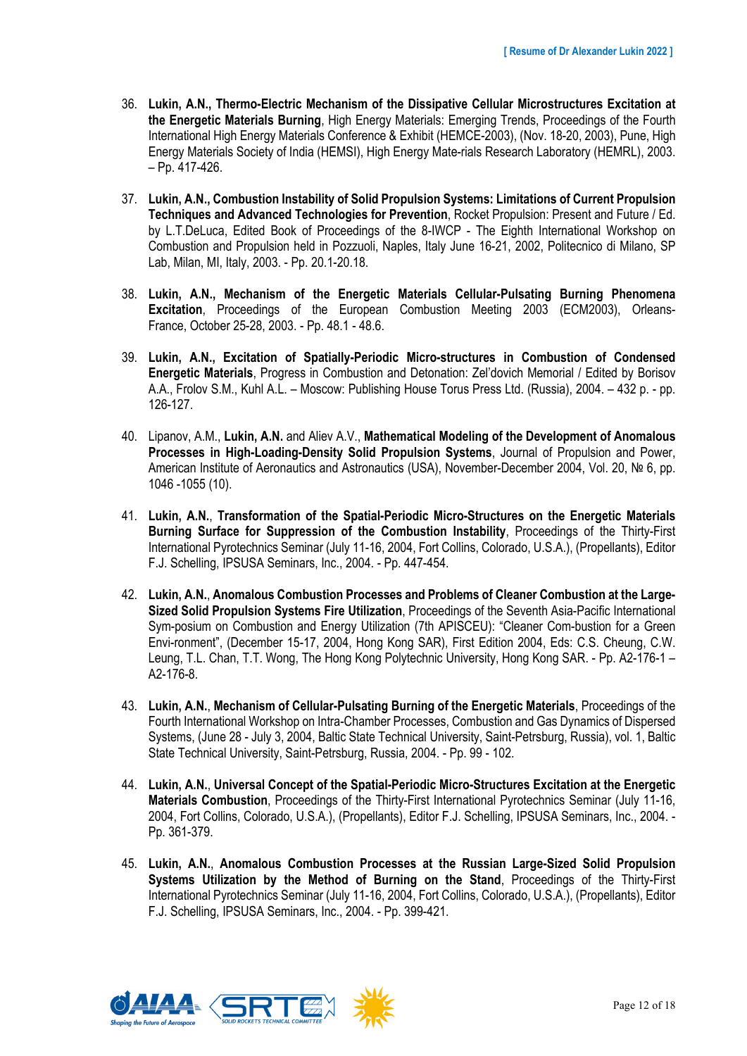- 36. **Lukin, A.N., Thermo-Electric Mechanism of the Dissipative Cellular Microstructures Excitation at the Energetic Materials Burning**, High Energy Materials: Emerging Trends, Proceedings of the Fourth International High Energy Materials Conference & Exhibit (HEMCE-2003), (Nov. 18-20, 2003), Pune, High Energy Materials Society of India (HEMSI), High Energy Mate-rials Research Laboratory (HEMRL), 2003. – Pp. 417-426.
- 37. **Lukin, A.N., Combustion Instability of Solid Propulsion Systems: Limitations of Current Propulsion Techniques and Advanced Technologies for Prevention**, Rocket Propulsion: Present and Future / Ed. by L.T.DeLuca, Edited Book of Proceedings of the 8-IWCP - The Eighth International Workshop on Combustion and Propulsion held in Pozzuoli, Naples, Italy June 16-21, 2002, Politecnico di Milano, SP Lab, Milan, MI, Italy, 2003. - Pp. 20.1-20.18.
- 38. **Lukin, A.N., Mechanism of the Energetic Materials Cellular-Pulsating Burning Phenomena Excitation**, Proceedings of the European Combustion Meeting 2003 (ECM2003), Orleans-France, October 25-28, 2003. - Pp. 48.1 - 48.6.
- 39. **Lukin, A.N., Excitation of Spatially-Periodic Micro-structures in Combustion of Condensed Energetic Materials**, Progress in Combustion and Detonation: Zel'dovich Memorial / Edited by Borisov A.A., Frolov S.M., Kuhl A.L. – Moscow: Publishing House Torus Press Ltd. (Russia), 2004. – 432 p. - pp. 126-127.
- 40. Lipanov, A.M., **Lukin, A.N.** and Aliev A.V., **Mathematical Modeling of the Development of Anomalous Processes in High-Loading-Density Solid Propulsion Systems**, Journal of Propulsion and Power, American Institute of Aeronautics and Astronautics (USA), November-December 2004, Vol. 20, № 6, pp. 1046 -1055 (10).
- 41. **Lukin, A.N.**, **Transformation of the Spatial-Periodic Micro-Structures on the Energetic Materials Burning Surface for Suppression of the Combustion Instability**, Proceedings of the Thirty-First International Pyrotechnics Seminar (July 11-16, 2004, Fort Collins, Colorado, U.S.A.), (Propellants), Editor F.J. Schelling, IPSUSA Seminars, Inc., 2004. - Pp. 447-454.
- 42. **Lukin, A.N.**, **Anomalous Combustion Processes and Problems of Cleaner Combustion at the Large-Sized Solid Propulsion Systems Fire Utilization**, Proceedings of the Seventh Asia-Pacific International Sym-posium on Combustion and Energy Utilization (7th APISCEU): "Cleaner Com-bustion for a Green Envi-ronment", (December 15-17, 2004, Hong Kong SAR), First Edition 2004, Eds: C.S. Cheung, C.W. Leung, T.L. Chan, T.T. Wong, The Hong Kong Polytechnic University, Hong Kong SAR. - Pp. A2-176-1 – A2-176-8.
- 43. **Lukin, A.N.**, **Mechanism of Cellular-Pulsating Burning of the Energetic Materials**, Proceedings of the Fourth International Workshop on Intra-Chamber Processes, Combustion and Gas Dynamics of Dispersed Systems, (June 28 - July 3, 2004, Baltic State Technical University, Saint-Petrsburg, Russia), vol. 1, Baltic State Technical University, Saint-Petrsburg, Russia, 2004. - Pp. 99 - 102.
- 44. **Lukin, A.N.**, **Universal Concept of the Spatial-Periodic Micro-Structures Excitation at the Energetic Materials Combustion**, Proceedings of the Thirty-First International Pyrotechnics Seminar (July 11-16, 2004, Fort Collins, Colorado, U.S.A.), (Propellants), Editor F.J. Schelling, IPSUSA Seminars, Inc., 2004. - Pp. 361-379.
- 45. **Lukin, A.N.**, **Anomalous Combustion Processes at the Russian Large-Sized Solid Propulsion Systems Utilization by the Method of Burning on the Stand**, Proceedings of the Thirty-First International Pyrotechnics Seminar (July 11-16, 2004, Fort Collins, Colorado, U.S.A.), (Propellants), Editor F.J. Schelling, IPSUSA Seminars, Inc., 2004. - Pp. 399-421.

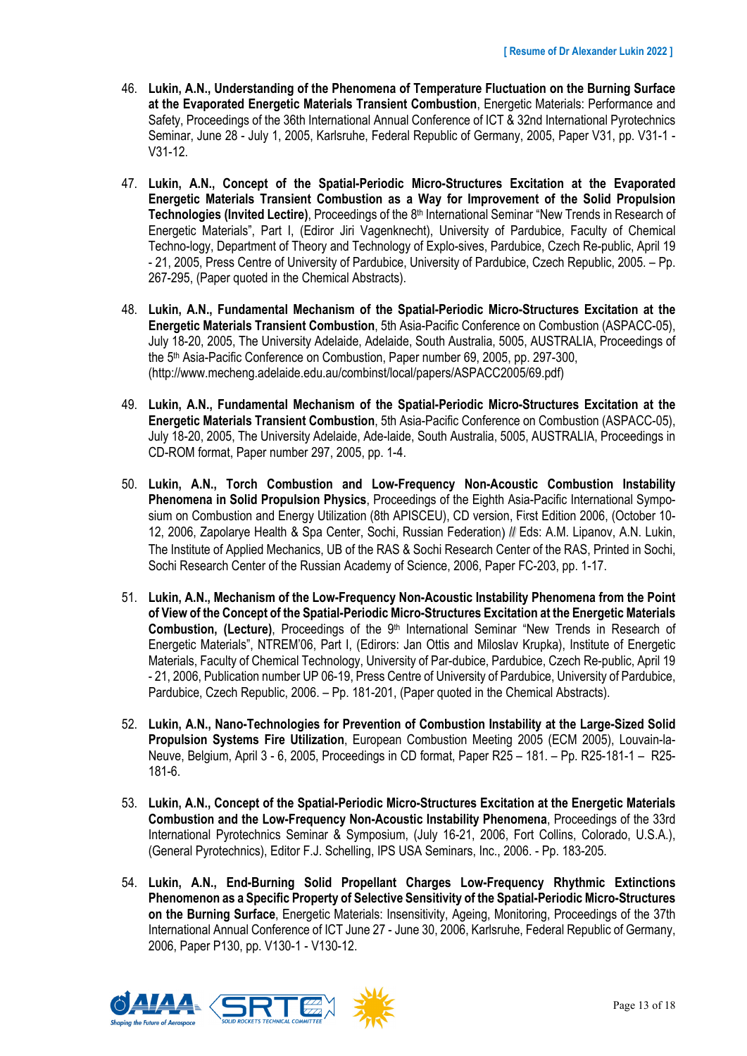- 46. **Lukin, A.N., Understanding of the Phenomena of Temperature Fluctuation on the Burning Surface at the Evaporated Energetic Materials Transient Combustion**, Energetic Materials: Performance and Safety, Proceedings of the 36th International Annual Conference of ICT & 32nd International Pyrotechnics Seminar, June 28 - July 1, 2005, Karlsruhe, Federal Republic of Germany, 2005, Paper V31, pp. V31-1 - V31-12.
- 47. **Lukin, A.N., Concept of the Spatial-Periodic Micro-Structures Excitation at the Evaporated Energetic Materials Transient Combustion as a Way for Improvement of the Solid Propulsion Technologies (Invited Lectire)**, Proceedings of the 8th International Seminar "New Trends in Research of Energetic Materials", Part I, (Ediror Jiri Vagenknecht), University of Pardubice, Faculty of Chemical Techno-logy, Department of Theory and Technology of Explo-sives, Pardubice, Czech Re-public, April 19 - 21, 2005, Press Centre of University of Pardubice, University of Pardubice, Czech Republic, 2005. – Pp. 267-295, (Paper quoted in the Chemical Abstracts).
- 48. **Lukin, A.N., Fundamental Mechanism of the Spatial-Periodic Micro-Structures Excitation at the Energetic Materials Transient Combustion**, 5th Asia-Pacific Conference on Combustion (ASPACC-05), July 18-20, 2005, The University Adelaide, Adelaide, South Australia, 5005, AUSTRALIA, Proceedings of the 5<sup>th</sup> Asia-Pacific Conference on Combustion, Paper number 69, 2005, pp. 297-300, (http://www.mecheng.adelaide.edu.au/combinst/local/papers/ASPACC2005/69.pdf)
- 49. **Lukin, A.N., Fundamental Mechanism of the Spatial-Periodic Micro-Structures Excitation at the Energetic Materials Transient Combustion**, 5th Asia-Pacific Conference on Combustion (ASPACC-05), July 18-20, 2005, The University Adelaide, Ade-laide, South Australia, 5005, AUSTRALIA, Proceedings in CD-ROM format, Paper number 297, 2005, pp. 1-4.
- 50. **Lukin, A.N., Torch Combustion and Low-Frequency Non-Acoustic Combustion Instability Phenomena in Solid Propulsion Physics**, Proceedings of the Eighth Asia-Pacific International Symposium on Combustion and Energy Utilization (8th APISCEU), CD version, First Edition 2006, (October 10- 12, 2006, Zapolarye Health & Spa Center, Sochi, Russian Federation) // Eds: A.M. Lipanov, A.N. Lukin, The Institute of Applied Mechanics, UB of the RAS & Sochi Research Center of the RAS, Printed in Sochi, Sochi Research Center of the Russian Academy of Science, 2006, Paper FC-203, pp. 1-17.
- 51. **Lukin, A.N., Mechanism of the Low-Frequency Non-Acoustic Instability Phenomena from the Point of View of the Concept of the Spatial-Periodic Micro-Structures Excitation at the Energetic Materials**  Combustion, (Lecture), Proceedings of the 9<sup>th</sup> International Seminar "New Trends in Research of Energetic Materials", NTREM'06, Part I, (Edirors: Jan Ottis and Miloslav Krupka), Institute of Energetic Materials, Faculty of Chemical Technology, University of Par-dubice, Pardubice, Czech Re-public, April 19 - 21, 2006, Publication number UP 06-19, Press Centre of University of Pardubice, University of Pardubice, Pardubice, Czech Republic, 2006. – Pp. 181-201, (Paper quoted in the Chemical Abstracts).
- 52. **Lukin, A.N., Nano-Technologies for Prevention of Combustion Instability at the Large-Sized Solid Propulsion Systems Fire Utilization**, European Combustion Meeting 2005 (ECM 2005), Louvain-la-Neuve, Belgium, April 3 - 6, 2005, Proceedings in CD format, Paper R25 – 181. – Pp. R25-181-1 – R25- 181-6.
- 53. **Lukin, A.N., Concept of the Spatial-Periodic Micro-Structures Excitation at the Energetic Materials Combustion and the Low-Frequency Non-Acoustic Instability Phenomena**, Proceedings of the 33rd International Pyrotechnics Seminar & Symposium, (July 16-21, 2006, Fort Collins, Colorado, U.S.A.), (General Pyrotechnics), Editor F.J. Schelling, IPS USA Seminars, Inc., 2006. - Pp. 183-205.
- 54. **Lukin, A.N., End-Burning Solid Propellant Charges Low-Frequency Rhythmic Extinctions Phenomenon as a Specific Property of Selective Sensitivity of the Spatial-Periodic Micro-Structures on the Burning Surface**, Energetic Materials: Insensitivity, Ageing, Monitoring, Proceedings of the 37th International Annual Conference of ICT June 27 - June 30, 2006, Karlsruhe, Federal Republic of Germany, 2006, Paper P130, pp. V130-1 - V130-12.

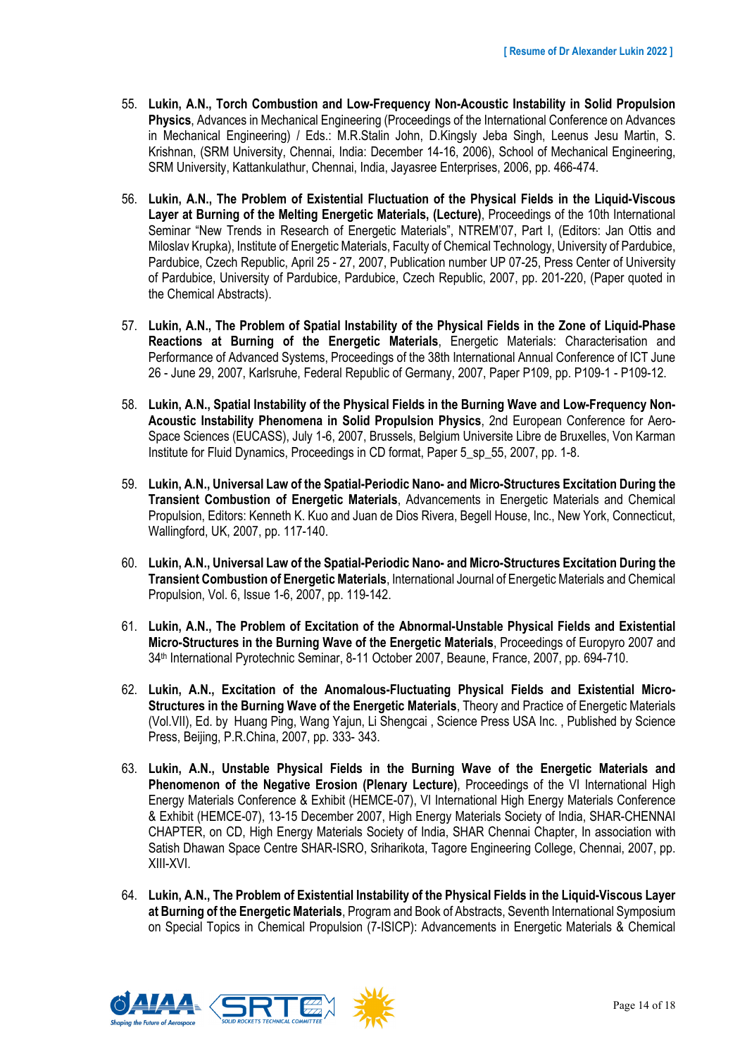- 55. **Lukin, A.N., Torch Combustion and Low-Frequency Non-Acoustic Instability in Solid Propulsion Physics**, Advances in Mechanical Engineering (Proceedings of the International Conference on Advances in Mechanical Engineering) / Eds.: M.R.Stalin John, D.Kingsly Jeba Singh, Leenus Jesu Martin, S. Krishnan, (SRM University, Chennai, India: December 14-16, 2006), School of Mechanical Engineering, SRM University, Kattankulathur, Chennai, India, Jayasree Enterprises, 2006, pp. 466-474.
- 56. **Lukin, A.N., The Problem of Existential Fluctuation of the Physical Fields in the Liquid-Viscous Layer at Burning of the Melting Energetic Materials, (Lecture)**, Proceedings of the 10th International Seminar "New Trends in Research of Energetic Materials", NTREM'07, Part I, (Editors: Jan Ottis and Miloslav Krupka), Institute of Energetic Materials, Faculty of Chemical Technology, University of Pardubice, Pardubice, Czech Republic, April 25 - 27, 2007, Publication number UP 07-25, Press Center of University of Pardubice, University of Pardubice, Pardubice, Czech Republic, 2007, pp. 201-220, (Paper quoted in the Chemical Abstracts).
- 57. **Lukin, A.N., The Problem of Spatial Instability of the Physical Fields in the Zone of Liquid-Phase Reactions at Burning of the Energetic Materials**, Energetic Materials: Characterisation and Performance of Advanced Systems, Proceedings of the 38th International Annual Conference of ICT June 26 - June 29, 2007, Karlsruhe, Federal Republic of Germany, 2007, Paper P109, pp. P109-1 - P109-12.
- 58. **Lukin, A.N., Spatial Instability of the Physical Fields in the Burning Wave and Low-Frequency Non-Acoustic Instability Phenomena in Solid Propulsion Physics**, 2nd European Conference for Aero-Space Sciences (EUCASS), July 1-6, 2007, Brussels, Belgium Universite Libre de Bruxelles, Von Karman Institute for Fluid Dynamics, Proceedings in CD format, Paper 5\_sp\_55, 2007, pp. 1-8.
- 59. **Lukin, A.N., Universal Law of the Spatial-Periodic Nano- and Micro-Structures Excitation During the Transient Combustion of Energetic Materials**, Advancements in Energetic Materials and Chemical Propulsion, Editors: Kenneth K. Kuo and Juan de Dios Rivera, Begell House, Inc., New York, Connecticut, Wallingford, UK, 2007, pp. 117-140.
- 60. **Lukin, A.N., Universal Law of the Spatial-Periodic Nano- and Micro-Structures Excitation During the Transient Combustion of Energetic Materials**, International Journal of Energetic Materials and Chemical Propulsion, Vol. 6, Issue 1-6, 2007, pp. 119-142.
- 61. **Lukin, A.N., The Problem of Excitation of the Abnormal-Unstable Physical Fields and Existential Micro-Structures in the Burning Wave of the Energetic Materials**, Proceedings of Europyro 2007 and 34th International Pyrotechnic Seminar, 8-11 October 2007, Beaune, France, 2007, pp. 694-710.
- 62. **Lukin, A.N., Excitation of the Anomalous-Fluctuating Physical Fields and Existential Micro-Structures in the Burning Wave of the Energetic Materials**, Theory and Practice of Energetic Materials (Vol.VII), Ed. by Huang Ping, Wang Yajun, Li Shengcai , Science Press USA Inc. , Published by Science Press, Beijing, P.R.China, 2007, pp. 333- 343.
- 63. **Lukin, A.N., Unstable Physical Fields in the Burning Wave of the Energetic Materials and Phenomenon of the Negative Erosion (Plenary Lecture)**, Proceedings of the VI International High Energy Materials Conference & Exhibit (HEMCE-07), VI International High Energy Materials Conference & Exhibit (HEMCE-07), 13-15 December 2007, High Energy Materials Society of India, SHAR-CHENNAI CHAPTER, on CD, High Energy Materials Society of India, SHAR Chennai Chapter, In association with Satish Dhawan Space Centre SHAR-ISRO, Sriharikota, Tagore Engineering College, Chennai, 2007, pp. XIII-XVI.
- 64. **Lukin, A.N., The Problem of Existential Instability of the Physical Fields in the Liquid-Viscous Layer at Burning of the Energetic Materials**, Program and Book of Abstracts, Seventh International Symposium on Special Topics in Chemical Propulsion (7-ISICP): Advancements in Energetic Materials & Chemical

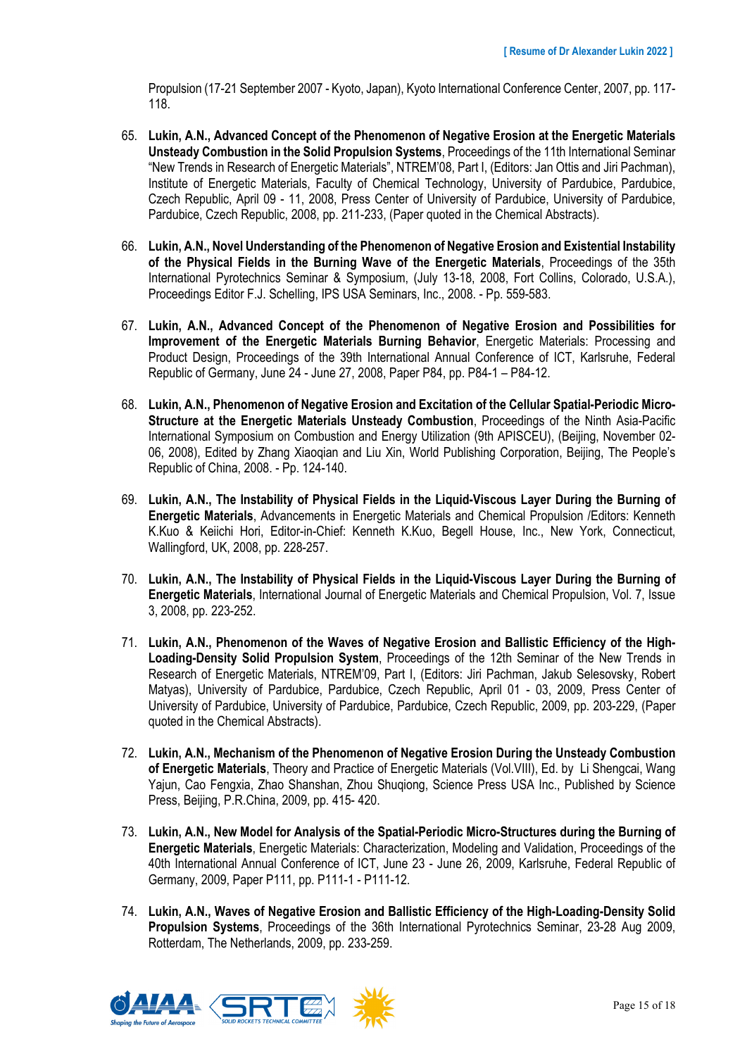Propulsion (17-21 September 2007 - Kyoto, Japan), Kyoto International Conference Center, 2007, pp. 117- 118.

- 65. **Lukin, A.N., Advanced Concept of the Phenomenon of Negative Erosion at the Energetic Materials Unsteady Combustion in the Solid Propulsion Systems**, Proceedings of the 11th International Seminar "New Trends in Research of Energetic Materials", NTREM'08, Part I, (Editors: Jan Ottis and Jiri Pachman), Institute of Energetic Materials, Faculty of Chemical Technology, University of Pardubice, Pardubice, Czech Republic, April 09 - 11, 2008, Press Center of University of Pardubice, University of Pardubice, Pardubice, Czech Republic, 2008, pp. 211-233, (Paper quoted in the Chemical Abstracts).
- 66. **Lukin, A.N., Novel Understanding of the Phenomenon of Negative Erosion and Existential Instability of the Physical Fields in the Burning Wave of the Energetic Materials**, Proceedings of the 35th International Pyrotechnics Seminar & Symposium, (July 13-18, 2008, Fort Collins, Colorado, U.S.A.), Proceedings Editor F.J. Schelling, IPS USA Seminars, Inc., 2008. - Pp. 559-583.
- 67. **Lukin, A.N., Advanced Concept of the Phenomenon of Negative Erosion and Possibilities for Improvement of the Energetic Materials Burning Behavior**, Energetic Materials: Processing and Product Design, Proceedings of the 39th International Annual Conference of ICT, Karlsruhe, Federal Republic of Germany, June 24 - June 27, 2008, Paper P84, pp. P84-1 – P84-12.
- 68. **Lukin, A.N., Phenomenon of Negative Erosion and Excitation of the Cellular Spatial-Periodic Micro-Structure at the Energetic Materials Unsteady Combustion**, Proceedings of the Ninth Asia-Pacific International Symposium on Combustion and Energy Utilization (9th APISCEU), (Beijing, November 02- 06, 2008), Edited by Zhang Xiaoqian and Liu Xin, World Publishing Corporation, Beijing, The People's Republic of China, 2008. - Pp. 124-140.
- 69. **Lukin, A.N., The Instability of Physical Fields in the Liquid-Viscous Layer During the Burning of Energetic Materials**, Advancements in Energetic Materials and Chemical Propulsion /Editors: Kenneth K.Kuo & Keiichi Hori, Editor-in-Chief: Kenneth K.Kuo, Begell House, Inc., New York, Connecticut, Wallingford, UK, 2008, pp. 228-257.
- 70. **Lukin, A.N., The Instability of Physical Fields in the Liquid-Viscous Layer During the Burning of Energetic Materials**, International Journal of Energetic Materials and Chemical Propulsion, Vol. 7, Issue 3, 2008, pp. 223-252.
- 71. **Lukin, A.N., Phenomenon of the Waves of Negative Erosion and Ballistic Efficiency of the High-Loading-Density Solid Propulsion System**, Proceedings of the 12th Seminar of the New Trends in Research of Energetic Materials, NTREM'09, Part I, (Editors: Jiri Pachman, Jakub Selesovsky, Robert Matyas), University of Pardubice, Pardubice, Czech Republic, April 01 - 03, 2009, Press Center of University of Pardubice, University of Pardubice, Pardubice, Czech Republic, 2009, pp. 203-229, (Paper quoted in the Chemical Abstracts).
- 72. **Lukin, A.N., Mechanism of the Phenomenon of Negative Erosion During the Unsteady Combustion of Energetic Materials**, Theory and Practice of Energetic Materials (Vol.VIII), Ed. by Li Shengcai, Wang Yajun, Cao Fengxia, Zhao Shanshan, Zhou Shuqiong, Science Press USA Inc., Published by Science Press, Beijing, P.R.China, 2009, pp. 415- 420.
- 73. **Lukin, A.N., New Model for Analysis of the Spatial-Periodic Micro-Structures during the Burning of Energetic Materials**, Energetic Materials: Characterization, Modeling and Validation, Proceedings of the 40th International Annual Conference of ICT, June 23 - June 26, 2009, Karlsruhe, Federal Republic of Germany, 2009, Paper P111, pp. P111-1 - P111-12.
- 74. **Lukin, A.N., Waves of Negative Erosion and Ballistic Efficiency of the High-Loading-Density Solid Propulsion Systems**, Proceedings of the 36th International Pyrotechnics Seminar, 23-28 Aug 2009, Rotterdam, The Netherlands, 2009, pp. 233-259.

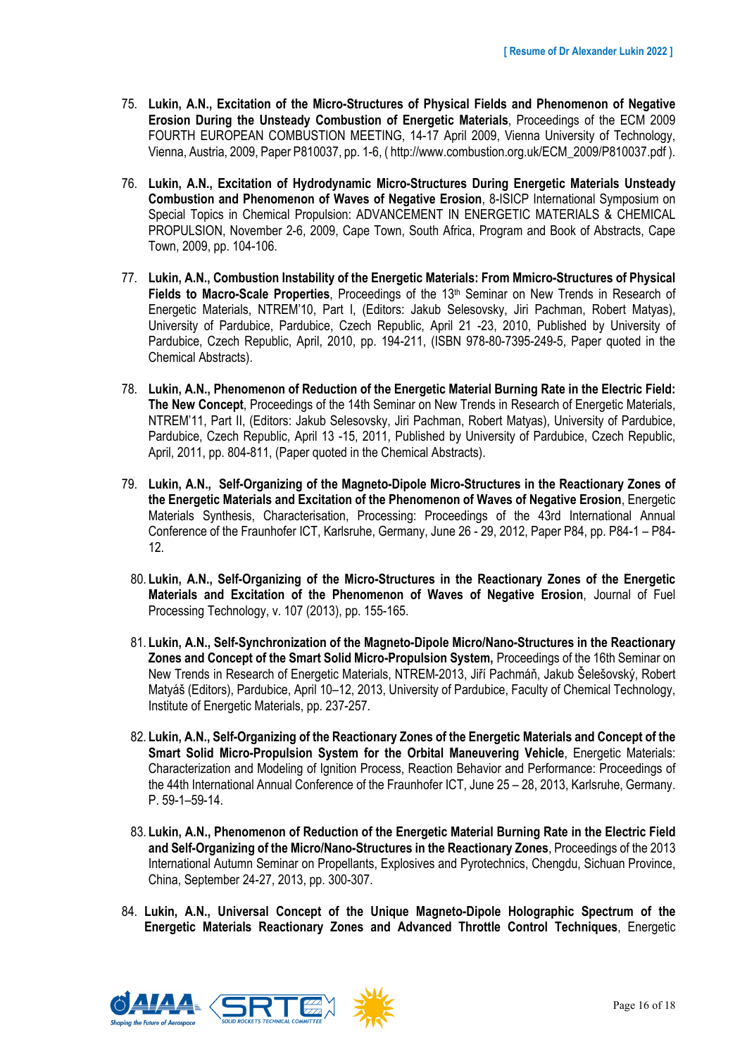- 75. **Lukin, A.N., Excitation of the Micro-Structures of Physical Fields and Phenomenon of Negative Erosion During the Unsteady Combustion of Energetic Materials**, Proceedings of the ECM 2009 FOURTH EUROPEAN COMBUSTION MEETING, 14-17 April 2009, Vienna University of Technology, Vienna, Austria, 2009, Paper P810037, pp. 1-6, ( http://www.combustion.org.uk/ECM\_2009/P810037.pdf ).
- 76. **Lukin, A.N., Excitation of Hydrodynamic Micro-Structures During Energetic Materials Unsteady Combustion and Phenomenon of Waves of Negative Erosion**, 8-ISICP International Symposium on Special Topics in Chemical Propulsion: ADVANCEMENT IN ENERGETIC MATERIALS & CHEMICAL PROPULSION, November 2-6, 2009, Cape Town, South Africa, Program and Book of Abstracts, Cape Town, 2009, pp. 104-106.
- 77. **Lukin, A.N., Combustion Instability of the Energetic Materials: From Mmicro-Structures of Physical Fields to Macro-Scale Properties**, Proceedings of the 13th Seminar on New Trends in Research of Energetic Materials, NTREM'10, Part I, (Editors: Jakub Selesovsky, Jiri Pachman, Robert Matyas), University of Pardubice, Pardubice, Czech Republic, April 21 -23, 2010, Published by University of Pardubice, Czech Republic, April, 2010, pp. 194-211, (ISBN 978-80-7395-249-5, Paper quoted in the Chemical Abstracts).
- 78. **Lukin, A.N., Phenomenon of Reduction of the Energetic Material Burning Rate in the Electric Field: The New Concept**, Proceedings of the 14th Seminar on New Trends in Research of Energetic Materials, NTREM'11, Part II, (Editors: Jakub Selesovsky, Jiri Pachman, Robert Matyas), University of Pardubice, Pardubice, Czech Republic, April 13 -15, 2011, Published by University of Pardubice, Czech Republic, April, 2011, pp. 804-811, (Paper quoted in the Chemical Abstracts).
- 79. **Lukin, A.N., Self-Organizing of the Magneto-Dipole Micro-Structures in the Reactionary Zones of the Energetic Materials and Excitation of the Phenomenon of Waves of Negative Erosion**, Energetic Materials Synthesis, Characterisation, Processing: Proceedings of the 43rd International Annual Conference of the Fraunhofer ICT, Karlsruhe, Germany, June 26 - 29, 2012, Paper P84, pp. P84-1 – P84- 12.
	- 80. **Lukin, A.N., Self-Organizing of the Micro-Structures in the Reactionary Zones of the Energetic Materials and Excitation of the Phenomenon of Waves of Negative Erosion**, Journal of Fuel Processing Technology, v. 107 (2013), pp. 155-165.
	- 81. **Lukin, A.N., Self-Synchronization of the Magneto-Dipole Micro/Nano-Structures in the Reactionary Zones and Concept of the Smart Solid Micro-Propulsion System,** Proceedings of the 16th Seminar on New Trends in Research of Energetic Materials, NTREM-2013, Jiří Pachmáň, Jakub Šelešovský, Robert Matyáš (Editors), Pardubice, April 10–12, 2013, University of Pardubice, Faculty of Chemical Technology, Institute of Energetic Materials, pp. 237-257.
	- 82. **Lukin, A.N., Self-Organizing of the Reactionary Zones of the Energetic Materials and Concept of the Smart Solid Micro-Propulsion System for the Orbital Maneuvering Vehicle**, Energetic Materials: Characterization and Modeling of Ignition Process, Reaction Behavior and Performance: Proceedings of the 44th International Annual Conference of the Fraunhofer ICT, June 25 – 28, 2013, Karlsruhe, Germany. P. 59-1–59-14.
	- 83. **Lukin, A.N., Phenomenon of Reduction of the Energetic Material Burning Rate in the Electric Field and Self-Organizing of the Micro/Nano-Structures in the Reactionary Zones**, Proceedings of the 2013 International Autumn Seminar on Propellants, Explosives and Pyrotechnics, Chengdu, Sichuan Province, China, September 24-27, 2013, pp. 300-307.
- 84. **Lukin, A.N., Universal Concept of the Unique Magneto-Dipole Holographic Spectrum of the Energetic Materials Reactionary Zones and Advanced Throttle Control Techniques**, Energetic

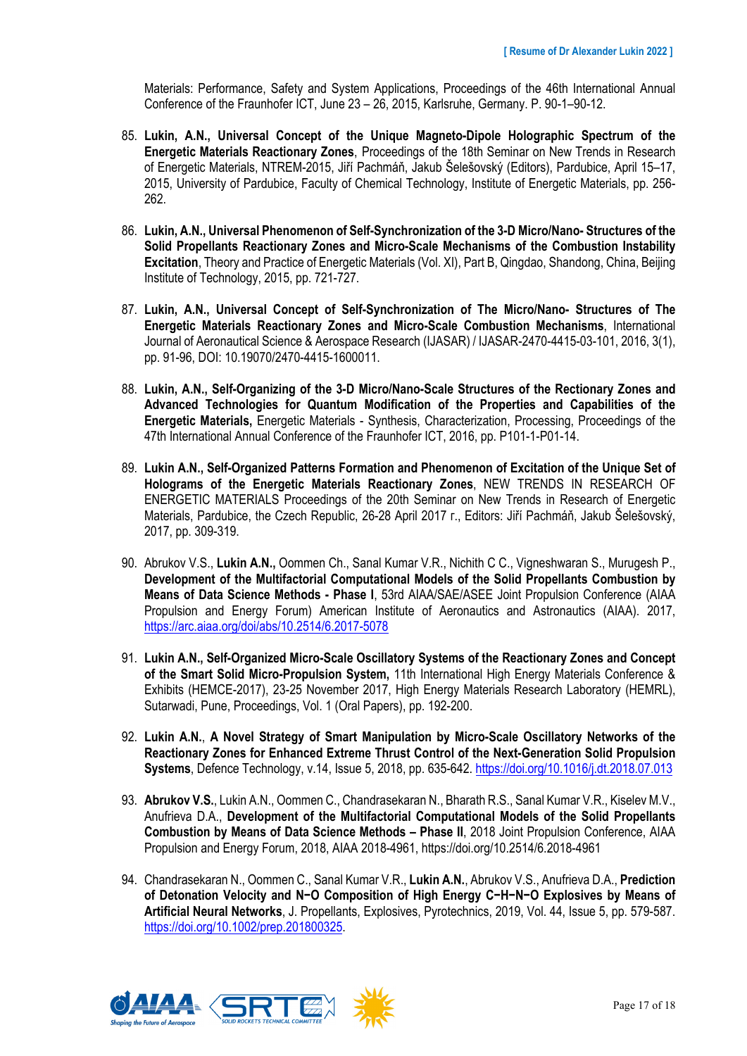Materials: Performance, Safety and System Applications, Proceedings of the 46th International Annual Conference of the Fraunhofer ICT, June 23 – 26, 2015, Karlsruhe, Germany. P. 90-1–90-12.

- 85. **Lukin, A.N., Universal Concept of the Unique Magneto-Dipole Holographic Spectrum of the Energetic Materials Reactionary Zones**, Proceedings of the 18th Seminar on New Trends in Research of Energetic Materials, NTREM-2015, Jiří Pachmáň, Jakub Šelešovský (Editors), Pardubice, April 15–17, 2015, University of Pardubice, Faculty of Chemical Technology, Institute of Energetic Materials, pp. 256- 262.
- 86. **Lukin, A.N., Universal Phenomenon of Self-Synchronization of the 3-D Micro/Nano- Structures of the Solid Propellants Reactionary Zones and Micro-Scale Mechanisms of the Combustion Instability Excitation**, Theory and Practice of Energetic Materials (Vol. XI), Part B, Qingdao, Shandong, China, Beijing Institute of Technology, 2015, pp. 721-727.
- 87. **Lukin, A.N., Universal Concept of Self-Synchronization of The Micro/Nano- Structures of The Energetic Materials Reactionary Zones and Micro-Scale Combustion Mechanisms**, International Journal of Aeronautical Science & Aerospace Research (IJASAR) / IJASAR-2470-4415-03-101, 2016, 3(1), pp. 91-96, DOI: 10.19070/2470-4415-1600011.
- 88. **Lukin, A.N., Self-Organizing of the 3-D Micro/Nano-Scale Structures of the Rectionary Zones and Advanced Technologies for Quantum Modification of the Properties and Capabilities of the Energetic Materials,** Energetic Materials - Synthesis, Characterization, Processing, Proceedings of the 47th International Annual Conference of the Fraunhofer ICT, 2016, pp. P101-1-P01-14.
- 89. **Lukin A.N., Self-Organized Patterns Formation and Phenomenon of Excitation of the Unique Set of Holograms of the Energetic Materials Reactionary Zones**, NEW TRENDS IN RESEARCH OF ENERGETIC MATERIALS Proceedings of the 20th Seminar on New Trends in Research of Energetic Materials, Pardubice, the Czech Republic, 26-28 April 2017 г., Editors: Jiří Pachmáň, Jakub Šelešovský, 2017, pp. 309-319.
- 90. Abrukov V.S., **Lukin A.N.,** Oommen Ch., Sanal Kumar V.R., Nichith C C., Vigneshwaran S., Murugesh P., **Development of the Multifactorial Computational Models of the Solid Propellants Combustion by Means of Data Science Methods - Phase I**, 53rd AIAA/SAE/ASEE Joint Propulsion Conference (AIAA Propulsion and Energy Forum) American Institute of Aeronautics and Astronautics (AIAA). 2017, https://arc.aiaa.org/doi/abs/10.2514/6.2017-5078
- 91. **Lukin A.N., Self-Organized Micro-Scale Oscillatory Systems of the Reactionary Zones and Concept of the Smart Solid Micro-Propulsion System,** 11th International High Energy Materials Conference & Exhibits (HEMCE-2017), 23-25 November 2017, High Energy Materials Research Laboratory (HEMRL), Sutarwadi, Pune, Proceedings, Vol. 1 (Oral Papers), pp. 192-200.
- 92. **Lukin A.N.**, **A Novel Strategy of Smart Manipulation by Micro-Scale Oscillatory Networks of the Reactionary Zones for Enhanced Extreme Thrust Control of the Next-Generation Solid Propulsion Systems**, Defence Technology, v.14, Issue 5, 2018, pp. 635-642. https://doi.org/10.1016/j.dt.2018.07.013
- 93. **Abrukov V.S.**, Lukin A.N., Oommen C., Chandrasekaran N., Bharath R.S., Sanal Kumar V.R., Kiselev M.V., Anufrieva D.A., **Development of the Multifactorial Computational Models of the Solid Propellants Combustion by Means of Data Science Methods – Phase II**, 2018 Joint Propulsion Conference, AIAA Propulsion and Energy Forum, 2018, AIAA 2018-4961, https://doi.org/10.2514/6.2018-4961
- 94. Chandrasekaran N., Oommen C., Sanal Kumar V.R., **Lukin A.N.**, Abrukov V.S., Anufrieva D.A., **Prediction of Detonation Velocity and N−O Composition of High Energy C−H−N−O Explosives by Means of Artificial Neural Networks**, J. Propellants, Explosives, Pyrotechnics, 2019, Vol. 44, Issue 5, pp. 579-587. https://doi.org/10.1002/prep.201800325.